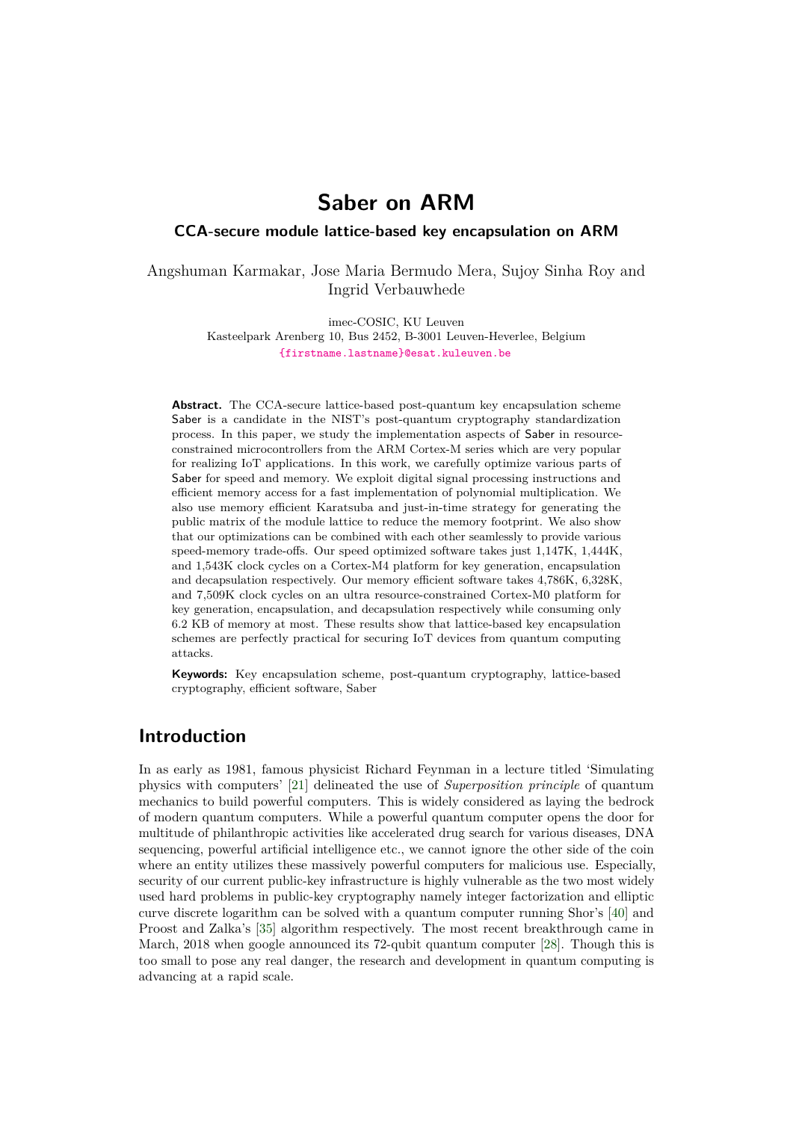# **Saber on ARM**

### **CCA-secure module lattice-based key encapsulation on ARM**

Angshuman Karmakar, Jose Maria Bermudo Mera, Sujoy Sinha Roy and Ingrid Verbauwhede

imec-COSIC, KU Leuven

Kasteelpark Arenberg 10, Bus 2452, B-3001 Leuven-Heverlee, Belgium [{firstname.lastname}@esat.kuleuven.be](mailto:{firstname.lastname}@esat.kuleuven.be)

**Abstract.** The CCA-secure lattice-based post-quantum key encapsulation scheme Saber is a candidate in the NIST's post-quantum cryptography standardization process. In this paper, we study the implementation aspects of Saber in resourceconstrained microcontrollers from the ARM Cortex-M series which are very popular for realizing IoT applications. In this work, we carefully optimize various parts of Saber for speed and memory. We exploit digital signal processing instructions and efficient memory access for a fast implementation of polynomial multiplication. We also use memory efficient Karatsuba and just-in-time strategy for generating the public matrix of the module lattice to reduce the memory footprint. We also show that our optimizations can be combined with each other seamlessly to provide various speed-memory trade-offs. Our speed optimized software takes just 1,147K, 1,444K, and 1,543K clock cycles on a Cortex-M4 platform for key generation, encapsulation and decapsulation respectively. Our memory efficient software takes 4,786K, 6,328K, and 7,509K clock cycles on an ultra resource-constrained Cortex-M0 platform for key generation, encapsulation, and decapsulation respectively while consuming only 6.2 KB of memory at most. These results show that lattice-based key encapsulation schemes are perfectly practical for securing IoT devices from quantum computing attacks.

**Keywords:** Key encapsulation scheme, post-quantum cryptography, lattice-based cryptography, efficient software, Saber

## **Introduction**

In as early as 1981, famous physicist Richard Feynman in a lecture titled 'Simulating physics with computers' [\[21\]](#page-19-0) delineated the use of *Superposition principle* of quantum mechanics to build powerful computers. This is widely considered as laying the bedrock of modern quantum computers. While a powerful quantum computer opens the door for multitude of philanthropic activities like accelerated drug search for various diseases, DNA sequencing, powerful artificial intelligence etc., we cannot ignore the other side of the coin where an entity utilizes these massively powerful computers for malicious use. Especially, security of our current public-key infrastructure is highly vulnerable as the two most widely used hard problems in public-key cryptography namely integer factorization and elliptic curve discrete logarithm can be solved with a quantum computer running Shor's [\[40\]](#page-20-0) and Proost and Zalka's [\[35\]](#page-19-1) algorithm respectively. The most recent breakthrough came in March, 2018 when google announced its 72-qubit quantum computer [\[28\]](#page-19-2). Though this is too small to pose any real danger, the research and development in quantum computing is advancing at a rapid scale.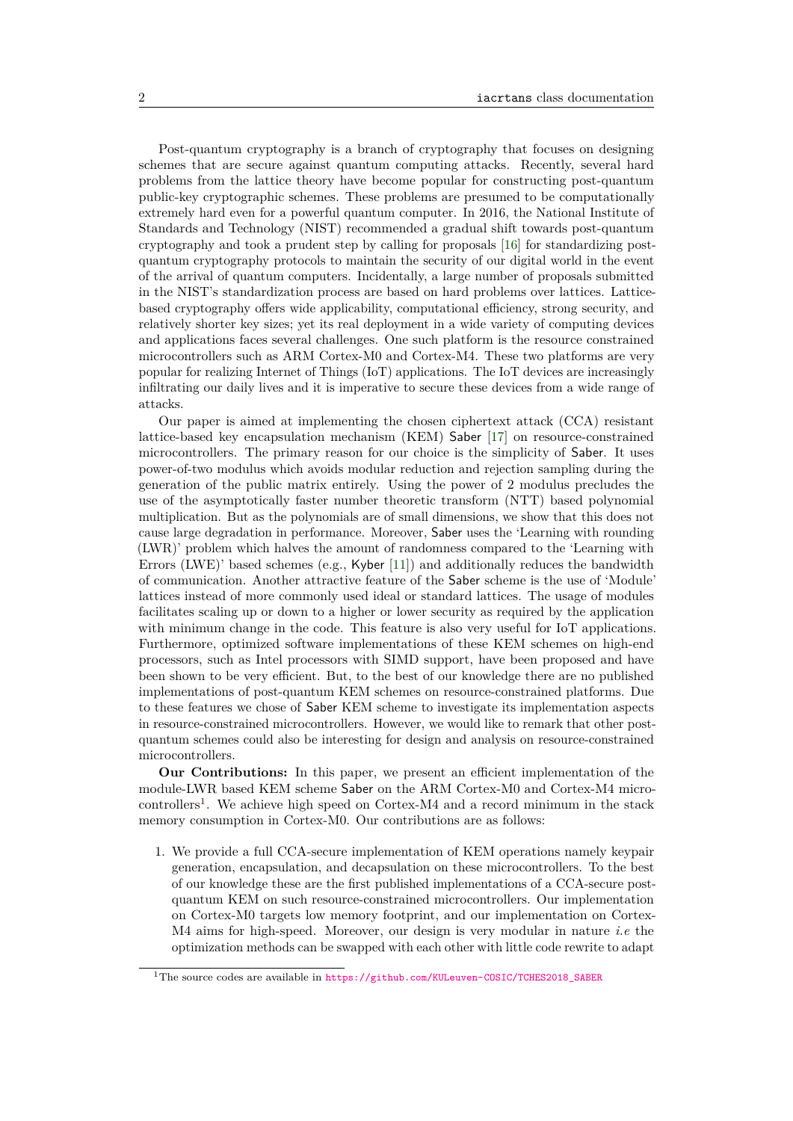Post-quantum cryptography is a branch of cryptography that focuses on designing schemes that are secure against quantum computing attacks. Recently, several hard problems from the lattice theory have become popular for constructing post-quantum public-key cryptographic schemes. These problems are presumed to be computationally extremely hard even for a powerful quantum computer. In 2016, the National Institute of Standards and Technology (NIST) recommended a gradual shift towards post-quantum cryptography and took a prudent step by calling for proposals [\[16\]](#page-18-0) for standardizing postquantum cryptography protocols to maintain the security of our digital world in the event of the arrival of quantum computers. Incidentally, a large number of proposals submitted in the NIST's standardization process are based on hard problems over lattices. Latticebased cryptography offers wide applicability, computational efficiency, strong security, and relatively shorter key sizes; yet its real deployment in a wide variety of computing devices and applications faces several challenges. One such platform is the resource constrained microcontrollers such as ARM Cortex-M0 and Cortex-M4. These two platforms are very popular for realizing Internet of Things (IoT) applications. The IoT devices are increasingly infiltrating our daily lives and it is imperative to secure these devices from a wide range of attacks.

Our paper is aimed at implementing the chosen ciphertext attack (CCA) resistant lattice-based key encapsulation mechanism (KEM) Saber [\[17\]](#page-18-1) on resource-constrained microcontrollers. The primary reason for our choice is the simplicity of Saber. It uses power-of-two modulus which avoids modular reduction and rejection sampling during the generation of the public matrix entirely. Using the power of 2 modulus precludes the use of the asymptotically faster number theoretic transform (NTT) based polynomial multiplication. But as the polynomials are of small dimensions, we show that this does not cause large degradation in performance. Moreover, Saber uses the 'Learning with rounding (LWR)' problem which halves the amount of randomness compared to the 'Learning with Errors (LWE)' based schemes (e.g., Kyber [\[11\]](#page-18-2)) and additionally reduces the bandwidth of communication. Another attractive feature of the Saber scheme is the use of 'Module' lattices instead of more commonly used ideal or standard lattices. The usage of modules facilitates scaling up or down to a higher or lower security as required by the application with minimum change in the code. This feature is also very useful for IoT applications. Furthermore, optimized software implementations of these KEM schemes on high-end processors, such as Intel processors with SIMD support, have been proposed and have been shown to be very efficient. But, to the best of our knowledge there are no published implementations of post-quantum KEM schemes on resource-constrained platforms. Due to these features we chose of Saber KEM scheme to investigate its implementation aspects in resource-constrained microcontrollers. However, we would like to remark that other postquantum schemes could also be interesting for design and analysis on resource-constrained microcontrollers.

**Our Contributions:** In this paper, we present an efficient implementation of the module-LWR based KEM scheme Saber on the ARM Cortex-M0 and Cortex-M4 micro-controllers<sup>[1](#page-1-0)</sup>. We achieve high speed on Cortex-M4 and a record minimum in the stack memory consumption in Cortex-M0. Our contributions are as follows:

1. We provide a full CCA-secure implementation of KEM operations namely keypair generation, encapsulation, and decapsulation on these microcontrollers. To the best of our knowledge these are the first published implementations of a CCA-secure postquantum KEM on such resource-constrained microcontrollers. Our implementation on Cortex-M0 targets low memory footprint, and our implementation on Cortex-M4 aims for high-speed. Moreover, our design is very modular in nature *i.e* the optimization methods can be swapped with each other with little code rewrite to adapt

<span id="page-1-0"></span><sup>1</sup>The source codes are available in [https://github.com/KULeuven-COSIC/TCHES2018\\_SABER]( https://github.com/KULeuven-COSIC/TCHES2018_SABER)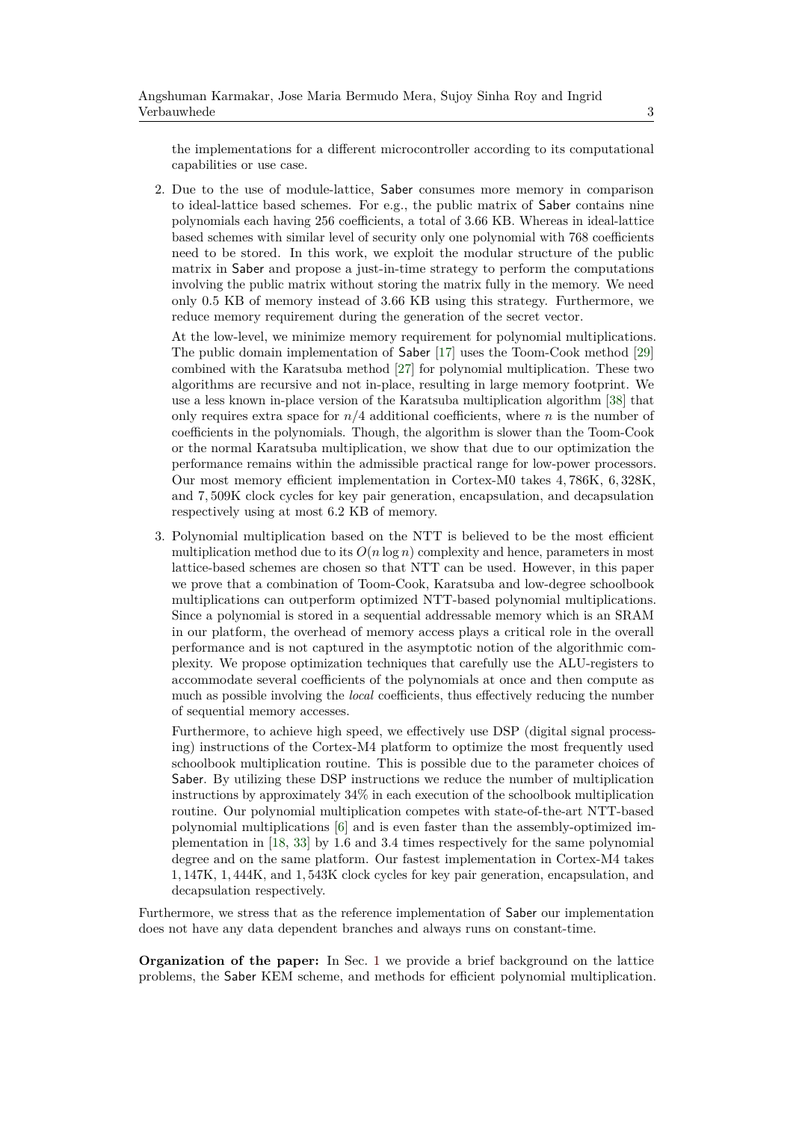the implementations for a different microcontroller according to its computational capabilities or use case.

2. Due to the use of module-lattice, Saber consumes more memory in comparison to ideal-lattice based schemes. For e.g., the public matrix of Saber contains nine polynomials each having 256 coefficients, a total of 3.66 KB. Whereas in ideal-lattice based schemes with similar level of security only one polynomial with 768 coefficients need to be stored. In this work, we exploit the modular structure of the public matrix in Saber and propose a just-in-time strategy to perform the computations involving the public matrix without storing the matrix fully in the memory. We need only 0.5 KB of memory instead of 3.66 KB using this strategy. Furthermore, we reduce memory requirement during the generation of the secret vector.

At the low-level, we minimize memory requirement for polynomial multiplications. The public domain implementation of Saber [\[17\]](#page-18-1) uses the Toom-Cook method [\[29\]](#page-19-3) combined with the Karatsuba method [\[27\]](#page-19-4) for polynomial multiplication. These two algorithms are recursive and not in-place, resulting in large memory footprint. We use a less known in-place version of the Karatsuba multiplication algorithm [\[38\]](#page-20-1) that only requires extra space for  $n/4$  additional coefficients, where *n* is the number of coefficients in the polynomials. Though, the algorithm is slower than the Toom-Cook or the normal Karatsuba multiplication, we show that due to our optimization the performance remains within the admissible practical range for low-power processors. Our most memory efficient implementation in Cortex-M0 takes 4*,* 786K, 6*,* 328K, and 7*,* 509K clock cycles for key pair generation, encapsulation, and decapsulation respectively using at most 6*.*2 KB of memory.

3. Polynomial multiplication based on the NTT is believed to be the most efficient multiplication method due to its  $O(n \log n)$  complexity and hence, parameters in most lattice-based schemes are chosen so that NTT can be used. However, in this paper we prove that a combination of Toom-Cook, Karatsuba and low-degree schoolbook multiplications can outperform optimized NTT-based polynomial multiplications. Since a polynomial is stored in a sequential addressable memory which is an SRAM in our platform, the overhead of memory access plays a critical role in the overall performance and is not captured in the asymptotic notion of the algorithmic complexity. We propose optimization techniques that carefully use the ALU-registers to accommodate several coefficients of the polynomials at once and then compute as much as possible involving the *local* coefficients, thus effectively reducing the number of sequential memory accesses.

Furthermore, to achieve high speed, we effectively use DSP (digital signal processing) instructions of the Cortex-M4 platform to optimize the most frequently used schoolbook multiplication routine. This is possible due to the parameter choices of Saber. By utilizing these DSP instructions we reduce the number of multiplication instructions by approximately 34% in each execution of the schoolbook multiplication routine. Our polynomial multiplication competes with state-of-the-art NTT-based polynomial multiplications [\[6\]](#page-18-3) and is even faster than the assembly-optimized implementation in [\[18,](#page-18-4) [33\]](#page-19-5) by 1*.*6 and 3*.*4 times respectively for the same polynomial degree and on the same platform. Our fastest implementation in Cortex-M4 takes 1*,* 147K, 1*,* 444K, and 1*,* 543K clock cycles for key pair generation, encapsulation, and decapsulation respectively.

Furthermore, we stress that as the reference implementation of Saber our implementation does not have any data dependent branches and always runs on constant-time.

**Organization of the paper:** In Sec. [1](#page-3-0) we provide a brief background on the lattice problems, the Saber KEM scheme, and methods for efficient polynomial multiplication.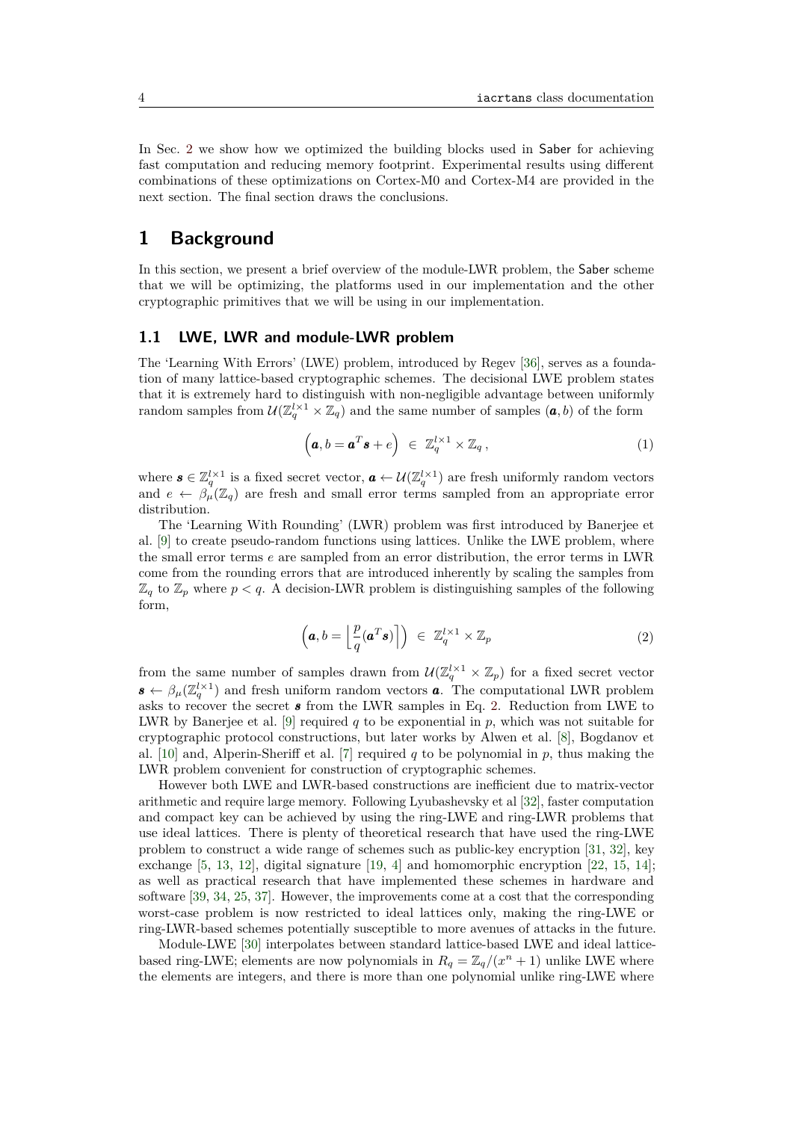In Sec. [2](#page-6-0) we show how we optimized the building blocks used in Saber for achieving fast computation and reducing memory footprint. Experimental results using different combinations of these optimizations on Cortex-M0 and Cortex-M4 are provided in the next section. The final section draws the conclusions.

## <span id="page-3-0"></span>**1 Background**

In this section, we present a brief overview of the module-LWR problem, the Saber scheme that we will be optimizing, the platforms used in our implementation and the other cryptographic primitives that we will be using in our implementation.

### **1.1 LWE, LWR and module-LWR problem**

The 'Learning With Errors' (LWE) problem, introduced by Regev [\[36\]](#page-20-2), serves as a foundation of many lattice-based cryptographic schemes. The decisional LWE problem states that it is extremely hard to distinguish with non-negligible advantage between uniformly random samples from  $\mathcal{U}(\mathbb{Z}_q^{l\times 1}\times \mathbb{Z}_q)$  and the same number of samples  $(a, b)$  of the form

$$
\left(\boldsymbol{a},\boldsymbol{b}=\boldsymbol{a}^T\boldsymbol{s}+\boldsymbol{e}\right)\ \in\ \mathbb{Z}_q^{l\times 1}\times\mathbb{Z}_q\,,\tag{1}
$$

where  $s \in \mathbb{Z}_q^{l \times 1}$  is a fixed secret vector,  $a \leftarrow \mathcal{U}(\mathbb{Z}_q^{l \times 1})$  are fresh uniformly random vectors and  $e \leftarrow \beta_{\mu}^{\mathcal{I}}(\mathbb{Z}_q)$  are fresh and small error terms sampled from an appropriate error distribution.

The 'Learning With Rounding' (LWR) problem was first introduced by Banerjee et al. [\[9\]](#page-18-5) to create pseudo-random functions using lattices. Unlike the LWE problem, where the small error terms *e* are sampled from an error distribution, the error terms in LWR come from the rounding errors that are introduced inherently by scaling the samples from  $\mathbb{Z}_q$  to  $\mathbb{Z}_p$  where  $p < q$ . A decision-LWR problem is distinguishing samples of the following form,

$$
\left(\boldsymbol{a},b=\left\lfloor \frac{p}{q}(\boldsymbol{a}^T\boldsymbol{s})\right\rceil\right) \ \in \ \mathbb{Z}_q^{l\times 1}\times \mathbb{Z}_p \tag{2}
$$

<span id="page-3-1"></span>from the same number of samples drawn from  $\mathcal{U}(\mathbb{Z}_q^{l \times 1} \times \mathbb{Z}_p)$  for a fixed secret vector  $\mathbf{s} \leftarrow \beta_{\mu}(\mathbb{Z}_q^{l \times 1})$  and fresh uniform random vectors **a**. The computational LWR problem asks to recover the secret *s* from the LWR samples in Eq. [2.](#page-3-1) Reduction from LWE to LWR by Banerjee et al. [\[9\]](#page-18-5) required  $q$  to be exponential in  $p$ , which was not suitable for cryptographic protocol constructions, but later works by Alwen et al. [\[8\]](#page-18-6), Bogdanov et al. [\[10\]](#page-18-7) and, Alperin-Sheriff et al. [\[7\]](#page-18-8) required *q* to be polynomial in *p*, thus making the LWR problem convenient for construction of cryptographic schemes.

However both LWE and LWR-based constructions are inefficient due to matrix-vector arithmetic and require large memory. Following Lyubashevsky et al [\[32\]](#page-19-6), faster computation and compact key can be achieved by using the ring-LWE and ring-LWR problems that use ideal lattices. There is plenty of theoretical research that have used the ring-LWE problem to construct a wide range of schemes such as public-key encryption [\[31,](#page-19-7) [32\]](#page-19-6), key exchange [\[5,](#page-17-0) [13,](#page-18-9) [12\]](#page-18-10), digital signature [\[19,](#page-18-11) [4\]](#page-17-1) and homomorphic encryption [\[22,](#page-19-8) [15,](#page-18-12) [14\]](#page-18-13); as well as practical research that have implemented these schemes in hardware and software [\[39,](#page-20-3) [34,](#page-19-9) [25,](#page-19-10) [37\]](#page-20-4). However, the improvements come at a cost that the corresponding worst-case problem is now restricted to ideal lattices only, making the ring-LWE or ring-LWR-based schemes potentially susceptible to more avenues of attacks in the future.

Module-LWE [\[30\]](#page-19-11) interpolates between standard lattice-based LWE and ideal latticebased ring-LWE; elements are now polynomials in  $R_q = \mathbb{Z}_q/(x^n + 1)$  unlike LWE where the elements are integers, and there is more than one polynomial unlike ring-LWE where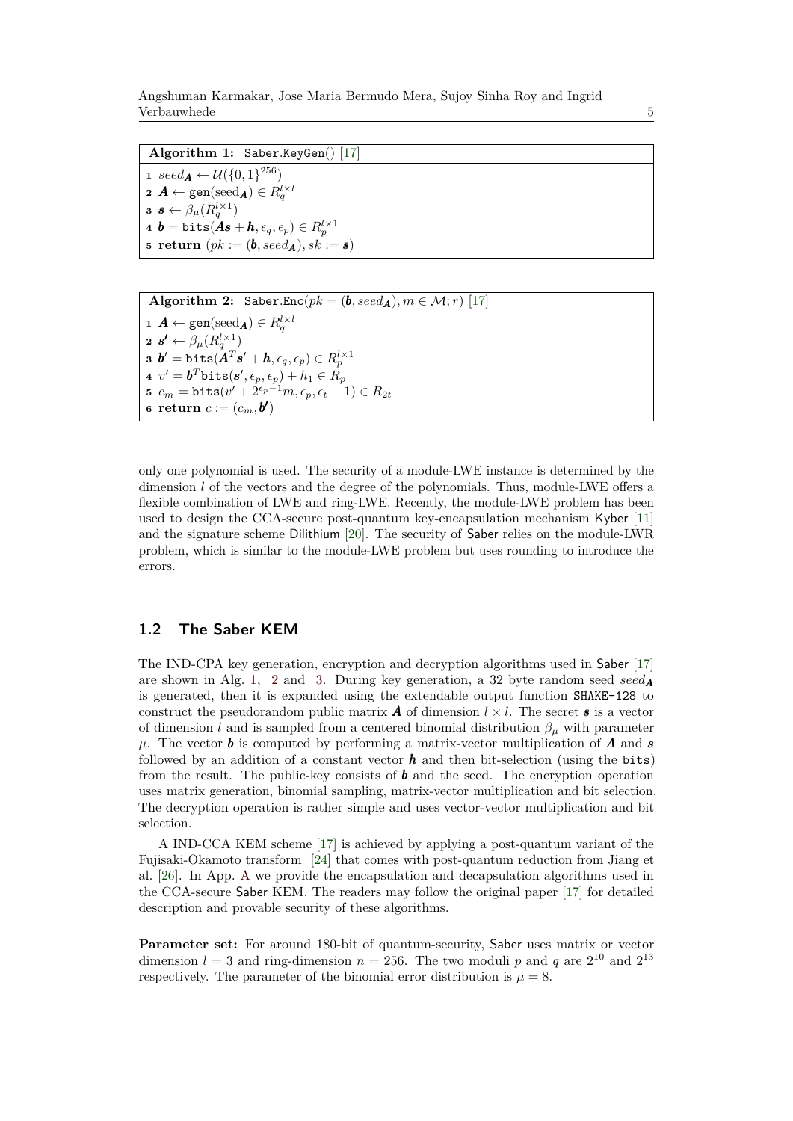Angshuman Karmakar, Jose Maria Bermudo Mera, Sujoy Sinha Roy and Ingrid Verbauwhede 5

<span id="page-4-0"></span>**Algorithm 1:** Saber*.*KeyGen() [\[17\]](#page-18-1) 1  $\text{seed}_{\mathbf{A}} \leftarrow \mathcal{U}(\{0, 1\}^{256})$  $\mathbf{2}$  *A* ← gen(seed<sub>*A*</sub>) ∈  $R^{l \times l}_{q}$  $\boldsymbol{s} \leftarrow \beta_{\mu}(R^{l \times 1}_{q})$  $\boldsymbol{a} \;\, \boldsymbol{b} = \text{\tt bits}(\boldsymbol{As}+\boldsymbol{h},\epsilon_q,\epsilon_p) \in R^{l\times 1}_p$ **5 return**  $(pk := (\boldsymbol{b}, \text{seed}_{\boldsymbol{A}}), sk := \boldsymbol{s})$ 

<span id="page-4-1"></span>**Algorithm 2:** Saber.Enc( $pk = (\mathbf{b}, seed_A), m \in \mathcal{M}; r$ ) [\[17\]](#page-18-1)  $\mathbf{1}$   $\mathbf{A} \leftarrow \texttt{gen}(\text{seed}_{\mathbf{A}}) \in R_q^{l \times l}$  $\boldsymbol{z} \ \boldsymbol{s'} \leftarrow \beta_{\mu}(R^{l \times 1}_{q})$  $\mathbf{b}' = \textsf{bits}( \mathbf{A}^T \mathbf{s}' + \mathbf{h}, \epsilon_q, \epsilon_p ) \in R^{l \times 1}_p$  $\mathbf{a}$   $v' = \boldsymbol{b}^T \texttt{bits}(\boldsymbol{s}', \epsilon_p, \epsilon_p) + h_1 \in R_p$  $\mathbf{5}$   $c_m = \texttt{bits}(v' + 2^{\epsilon_p-1}m, \epsilon_p, \epsilon_t + 1) \in R_{2t}$ **6 return**  $c := (c_m, \mathbf{b}^{\prime})$ 

only one polynomial is used. The security of a module-LWE instance is determined by the dimension *l* of the vectors and the degree of the polynomials. Thus, module-LWE offers a flexible combination of LWE and ring-LWE. Recently, the module-LWE problem has been used to design the CCA-secure post-quantum key-encapsulation mechanism Kyber [\[11\]](#page-18-2) and the signature scheme Dilithium [\[20\]](#page-19-12). The security of Saber relies on the module-LWR problem, which is similar to the module-LWE problem but uses rounding to introduce the errors.

### **1.2 The Saber KEM**

The IND-CPA key generation, encryption and decryption algorithms used in Saber [\[17\]](#page-18-1) are shown in Alg. [1,](#page-4-0) [2](#page-4-1) and [3.](#page-5-0) During key generation, a 32 byte random seed  $seed_A$ is generated, then it is expanded using the extendable output function SHAKE-128 to construct the pseudorandom public matrix  $\boldsymbol{A}$  of dimension  $l \times l$ . The secret  $\boldsymbol{s}$  is a vector of dimension *l* and is sampled from a centered binomial distribution  $\beta_{\mu}$  with parameter  $\mu$ . The vector **b** is computed by performing a matrix-vector multiplication of *A* and *s* followed by an addition of a constant vector  $h$  and then bit-selection (using the bits) from the result. The public-key consists of *b* and the seed. The encryption operation uses matrix generation, binomial sampling, matrix-vector multiplication and bit selection. The decryption operation is rather simple and uses vector-vector multiplication and bit selection.

A IND-CCA KEM scheme [\[17\]](#page-18-1) is achieved by applying a post-quantum variant of the Fujisaki-Okamoto transform [\[24\]](#page-19-13) that comes with post-quantum reduction from Jiang et al. [\[26\]](#page-19-14). In App. [A](#page-21-0) we provide the encapsulation and decapsulation algorithms used in the CCA-secure Saber KEM. The readers may follow the original paper [\[17\]](#page-18-1) for detailed description and provable security of these algorithms.

**Parameter set:** For around 180-bit of quantum-security, Saber uses matrix or vector dimension  $l = 3$  and ring-dimension  $n = 256$ . The two moduli p and q are  $2^{10}$  and  $2^{13}$ respectively. The parameter of the binomial error distribution is  $\mu = 8$ .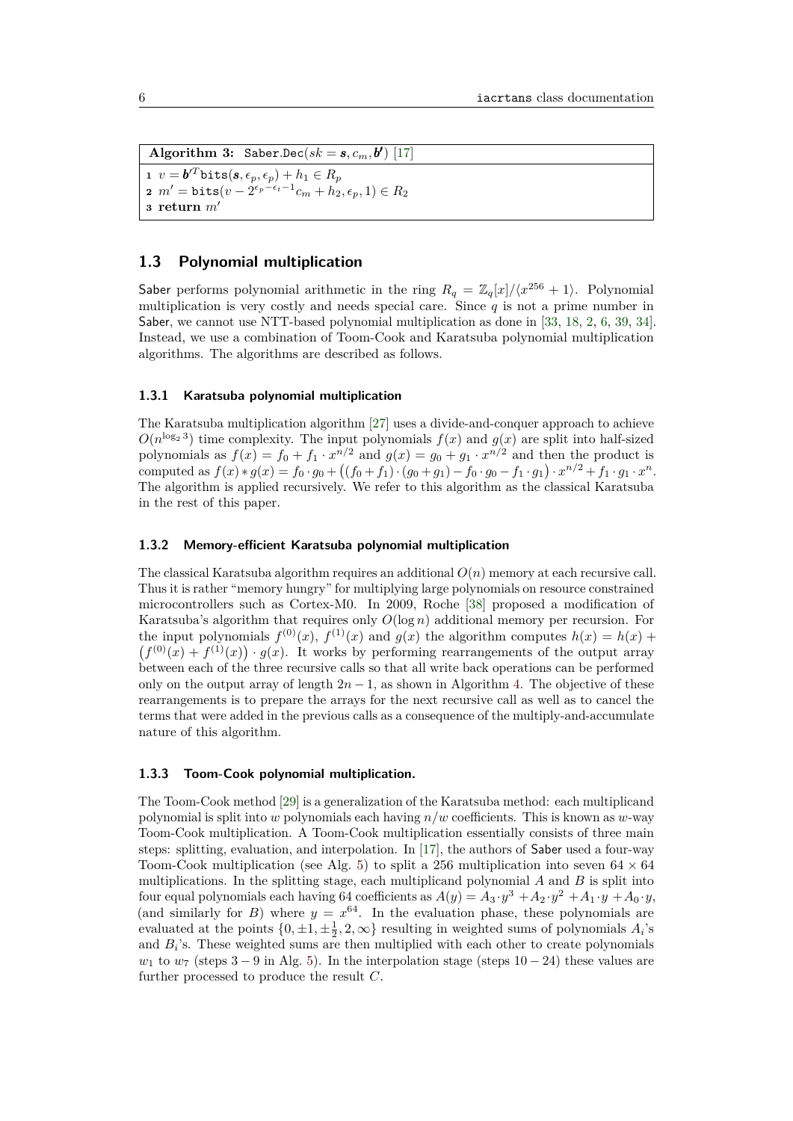<span id="page-5-0"></span>Algorithm 3: Saber.Dec( $sk = s, c_m, b'$ ) [\[17\]](#page-18-1)  $\mathbf{v} = \boldsymbol{b}'^T$ bits $(\boldsymbol{s}, \epsilon_p, \epsilon_p) + h_1 \in R_p$  $m' = \texttt{bits}(v - 2^{\epsilon_p-\epsilon_t-1}c_m + h_2, \epsilon_p, 1) \in R_2$ **<sup>3</sup> return** *m*<sup>0</sup>

### **1.3 Polynomial multiplication**

Saber performs polynomial arithmetic in the ring  $R_q = \mathbb{Z}_q[x]/\langle x^{256} + 1 \rangle$ . Polynomial multiplication is very costly and needs special care. Since  $q$  is not a prime number in Saber, we cannot use NTT-based polynomial multiplication as done in [\[33,](#page-19-5) [18,](#page-18-4) [2,](#page-17-2) [6,](#page-18-3) [39,](#page-20-3) [34\]](#page-19-9). Instead, we use a combination of Toom-Cook and Karatsuba polynomial multiplication algorithms. The algorithms are described as follows.

#### **1.3.1 Karatsuba polynomial multiplication**

The Karatsuba multiplication algorithm [\[27\]](#page-19-4) uses a divide-and-conquer approach to achieve  $O(n^{\log_2 3})$  time complexity. The input polynomials  $f(x)$  and  $g(x)$  are split into half-sized polynomials as  $f(x) = f_0 + f_1 \cdot x^{n/2}$  and  $g(x) = g_0 + g_1 \cdot x^{n/2}$  and then the product is computed as  $f(x) * g(x) = f_0 \cdot g_0 + ((f_0 + f_1) \cdot (g_0 + g_1) - f_0 \cdot g_0 - f_1 \cdot g_1) \cdot x^{n/2} + f_1 \cdot g_1 \cdot x^n$ . The algorithm is applied recursively. We refer to this algorithm as the classical Karatsuba in the rest of this paper.

### <span id="page-5-1"></span>**1.3.2 Memory-efficient Karatsuba polynomial multiplication**

The classical Karatsuba algorithm requires an additional  $O(n)$  memory at each recursive call. Thus it is rather "memory hungry" for multiplying large polynomials on resource constrained microcontrollers such as Cortex-M0. In 2009, Roche [\[38\]](#page-20-1) proposed a modification of Karatsuba's algorithm that requires only *O*(log *n*) additional memory per recursion. For the input polynomials  $f^{(0)}(x)$ ,  $f^{(1)}(x)$  and  $g(x)$  the algorithm computes  $h(x) = h(x) +$  $(f^{(0)}(x) + f^{(1)}(x)) \cdot g(x)$ . It works by performing rearrangements of the output array between each of the three recursive calls so that all write back operations can be performed only on the output array of length  $2n - 1$ , as shown in Algorithm [4.](#page-6-1) The objective of these rearrangements is to prepare the arrays for the next recursive call as well as to cancel the terms that were added in the previous calls as a consequence of the multiply-and-accumulate nature of this algorithm.

#### **1.3.3 Toom-Cook polynomial multiplication.**

The Toom-Cook method [\[29\]](#page-19-3) is a generalization of the Karatsuba method: each multiplicand polynomial is split into *w* polynomials each having *n/w* coefficients. This is known as *w*-way Toom-Cook multiplication. A Toom-Cook multiplication essentially consists of three main steps: splitting, evaluation, and interpolation. In [\[17\]](#page-18-1), the authors of Saber used a four-way Toom-Cook multiplication (see Alg. [5\)](#page-7-0) to split a 256 multiplication into seven  $64 \times 64$ multiplications. In the splitting stage, each multiplicand polynomial *A* and *B* is split into four equal polynomials each having 64 coefficients as  $A(y) = A_3 \cdot y^3 + A_2 \cdot y^2 + A_1 \cdot y + A_0 \cdot y$ , (and similarly for *B*) where  $y = x^{64}$ . In the evaluation phase, these polynomials are evaluated at the points  $\{0, \pm 1, \pm \frac{1}{2}, 2, \infty\}$  resulting in weighted sums of polynomials  $A_i$ 's and  $B_i$ 's. These weighted sums are then multiplied with each other to create polynomials *w*<sub>1</sub> to  $w_7$  (steps 3 − 9 in Alg. [5\)](#page-7-0). In the interpolation stage (steps 10 − 24) these values are further processed to produce the result *C*.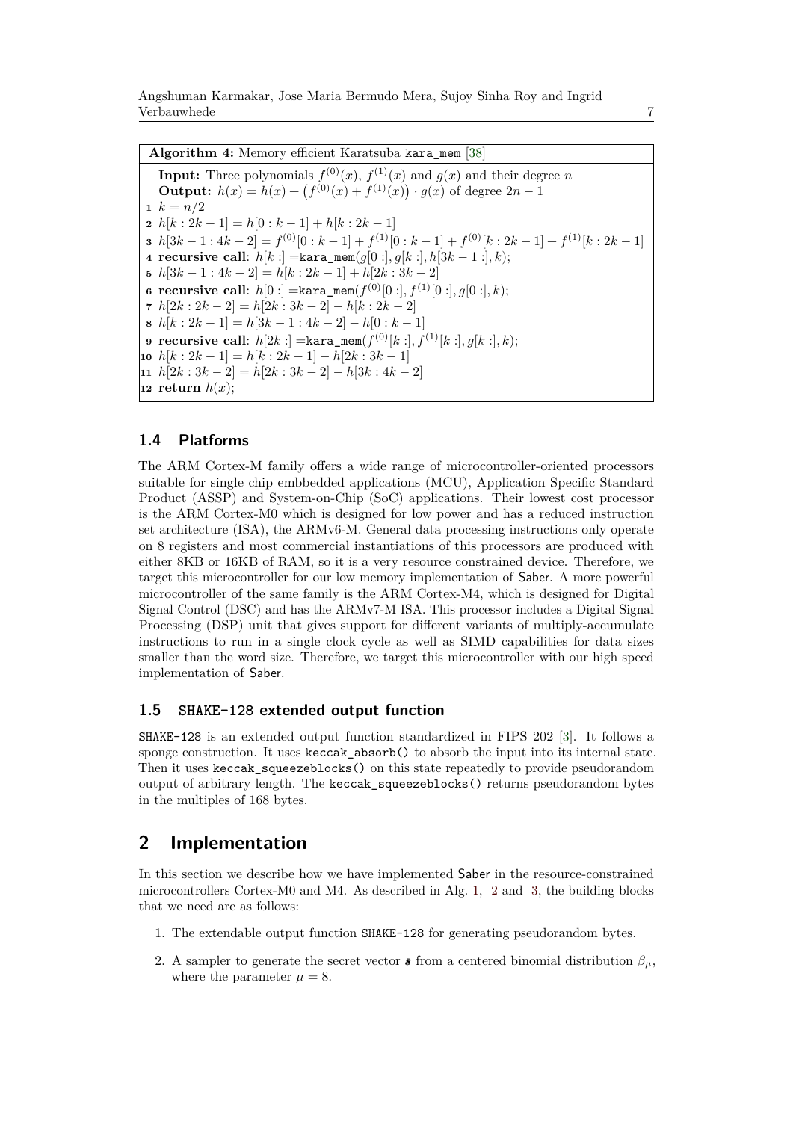Angshuman Karmakar, Jose Maria Bermudo Mera, Sujoy Sinha Roy and Ingrid Verbauwhede 7

**Algorithm 4:** Memory efficient Karatsuba kara\_mem [\[38\]](#page-20-1)

<span id="page-6-1"></span>**Input:** Three polynomials  $f^{(0)}(x)$ ,  $f^{(1)}(x)$  and  $g(x)$  and their degree *n* **Output:**  $h(x) = h(x) + (f^{(0)}(x) + f^{(1)}(x)) \cdot g(x)$  of degree  $2n - 1$ 1  $k = n/2$   $h[k:2k-1] = h[0:k-1] + h[k:2k-1]$   $h[3k-1:4k-2] = f^{(0)}[0:k-1]+f^{(1)}[0:k-1]+f^{(0)}[k:2k-1]+f^{(1)}[k:2k-1]$  **recursive call**: *h*[*k* :] =kara\_mem(*g*[0 :]*, g*[*k* :]*, h*[3*k* − 1 :]*, k*); *h*[3*k* − 1 : 4*k* − 2] = *h*[*k* : 2*k* − 1] + *h*[2*k* : 3*k* − 2]  ${\tt recursive \; call:} \; h[0:] = {\tt kara\_mem}(f^{(0)}[0:] , f^{(1)}[0:] , g[0:] , k);$   $h[2k:2k-2] = h[2k:3k-2] - h[k:2k-2]$   $h[k: 2k-1] = h[3k-1: 4k-2] - h[0: k-1]$   ${\tt recursive\ call:}\ \ h[2k:] = {\tt kara\_mem}(f^{(0)}[k:] , f^{(1)}[k:] , g[k:] , k);$  $h[k:2k-1] = h[k:2k-1] - h[2k:3k-1]$  *h*[2*k* : 3*k* − 2] = *h*[2*k* : 3*k* − 2] − *h*[3*k* : 4*k* − 2] **return**  $h(x)$ ;

### **1.4 Platforms**

The ARM Cortex-M family offers a wide range of microcontroller-oriented processors suitable for single chip embbedded applications (MCU), Application Specific Standard Product (ASSP) and System-on-Chip (SoC) applications. Their lowest cost processor is the ARM Cortex-M0 which is designed for low power and has a reduced instruction set architecture (ISA), the ARMv6-M. General data processing instructions only operate on 8 registers and most commercial instantiations of this processors are produced with either 8KB or 16KB of RAM, so it is a very resource constrained device. Therefore, we target this microcontroller for our low memory implementation of Saber. A more powerful microcontroller of the same family is the ARM Cortex-M4, which is designed for Digital Signal Control (DSC) and has the ARMv7-M ISA. This processor includes a Digital Signal Processing (DSP) unit that gives support for different variants of multiply-accumulate instructions to run in a single clock cycle as well as SIMD capabilities for data sizes smaller than the word size. Therefore, we target this microcontroller with our high speed implementation of Saber.

### **1.5 SHAKE-128 extended output function**

SHAKE-128 is an extended output function standardized in FIPS 202 [\[3\]](#page-17-3). It follows a sponge construction. It uses keccak\_absorb() to absorb the input into its internal state. Then it uses keccak\_squeezeblocks() on this state repeatedly to provide pseudorandom output of arbitrary length. The keccak\_squeezeblocks() returns pseudorandom bytes in the multiples of 168 bytes.

## <span id="page-6-0"></span>**2 Implementation**

In this section we describe how we have implemented Saber in the resource-constrained microcontrollers Cortex-M0 and M4. As described in Alg. [1,](#page-4-0) [2](#page-4-1) and [3,](#page-5-0) the building blocks that we need are as follows:

- 1. The extendable output function SHAKE-128 for generating pseudorandom bytes.
- 2. A sampler to generate the secret vector **s** from a centered binomial distribution  $\beta_{\mu}$ , where the parameter  $\mu = 8$ .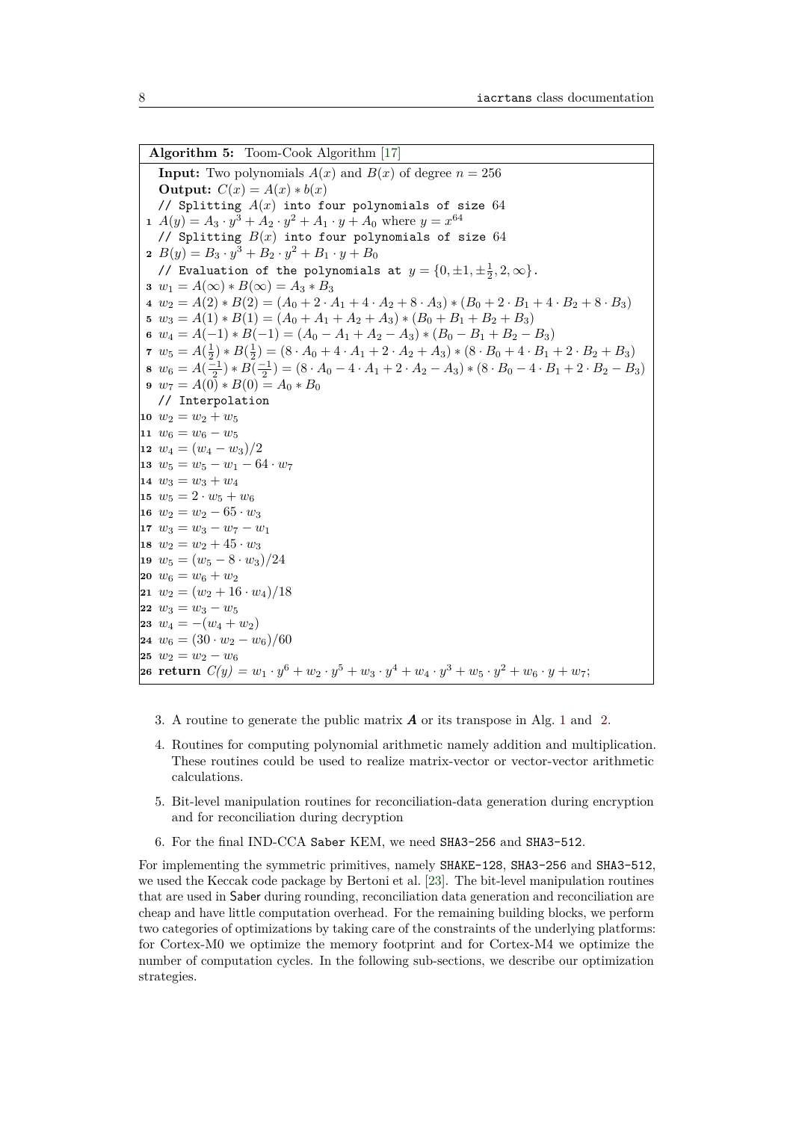<span id="page-7-0"></span>**Algorithm 5:** Toom-Cook Algorithm [\[17\]](#page-18-1) **Input:** Two polynomials  $A(x)$  and  $B(x)$  of degree  $n = 256$ **Output:**  $C(x) = A(x) * b(x)$ // Splitting *A*(*x*) into four polynomials of size 64  $A(y) = A_3 \cdot y^3 + A_2 \cdot y^2 + A_1 \cdot y + A_0$  where  $y = x^{64}$ // Splitting *B*(*x*) into four polynomials of size 64  $B(y) = B_3 \cdot y^3 + B_2 \cdot y^2 + B_1 \cdot y + B_0$ // Evaluation of the polynomials at  $y = \{0, \pm 1, \pm \frac{1}{2}, 2, \infty\}.$   $w_1 = A(\infty) * B(\infty) = A_3 * B_3$   $w_2 = A(2) * B(2) = (A_0 + 2 \cdot A_1 + 4 \cdot A_2 + 8 \cdot A_3) * (B_0 + 2 \cdot B_1 + 4 \cdot B_2 + 8 \cdot B_3)$   $w_3 = A(1) * B(1) = (A_0 + A_1 + A_2 + A_3) * (B_0 + B_1 + B_2 + B_3)$   $w_4 = A(-1) * B(-1) = (A_0 - A_1 + A_2 - A_3) * (B_0 - B_1 + B_2 - B_3)$   $w_5 = A(\frac{1}{2}) * B(\frac{1}{2}) = (8 \cdot A_0 + 4 \cdot A_1 + 2 \cdot A_2 + A_3) * (8 \cdot B_0 + 4 \cdot B_1 + 2 \cdot B_2 + B_3)$   $w_6 = A(\frac{-1}{2}) * B(\frac{-1}{2}) = (8 \cdot A_0 - 4 \cdot A_1 + 2 \cdot A_2 - A_3) * (8 \cdot B_0 - 4 \cdot B_1 + 2 \cdot B_2 - B_3)$   $w_7 = A(0) * B(0) = A_0 * B_0$ // Interpolation  $w_2 = w_2 + w_5$   $w_6 = w_6 - w_5$   $w_4 = (w_4 - w_3)/2$   $w_5 = w_5 - w_1 - 64 \cdot w_7$  $w_3 = w_3 + w_4$  $w_5 = 2 \cdot w_5 + w_6$   $w_2 = w_2 - 65 \cdot w_3$  $17 w_3 = w_3 - w_7 - w_1$  $w_2 = w_2 + 45 \cdot w_3$   $w_5 = (w_5 - 8 \cdot w_3)/24$  $|20 \, w_6 = w_6 + w_2$  $|21 \ w_2 = (w_2 + 16 \cdot w_4)/18$   $w_3 = w_3 - w_5$   $w_4 = -(w_4 + w_2)$   $w_6 = (30 \cdot w_2 - w_6)/60$   $w_2 = w_2 - w_6$ **return**  $C(y) = w_1 \cdot y^6 + w_2 \cdot y^5 + w_3 \cdot y^4 + w_4 \cdot y^3 + w_5 \cdot y^2 + w_6 \cdot y + w_7;$ 

- 3. A routine to generate the public matrix *A* or its transpose in Alg. [1](#page-4-0) and [2.](#page-4-1)
- 4. Routines for computing polynomial arithmetic namely addition and multiplication. These routines could be used to realize matrix-vector or vector-vector arithmetic calculations.
- 5. Bit-level manipulation routines for reconciliation-data generation during encryption and for reconciliation during decryption
- 6. For the final IND-CCA Saber KEM, we need SHA3-256 and SHA3-512.

For implementing the symmetric primitives, namely SHAKE-128, SHA3-256 and SHA3-512, we used the Keccak code package by Bertoni et al. [\[23\]](#page-19-15). The bit-level manipulation routines that are used in Saber during rounding, reconciliation data generation and reconciliation are cheap and have little computation overhead. For the remaining building blocks, we perform two categories of optimizations by taking care of the constraints of the underlying platforms: for Cortex-M0 we optimize the memory footprint and for Cortex-M4 we optimize the number of computation cycles. In the following sub-sections, we describe our optimization strategies.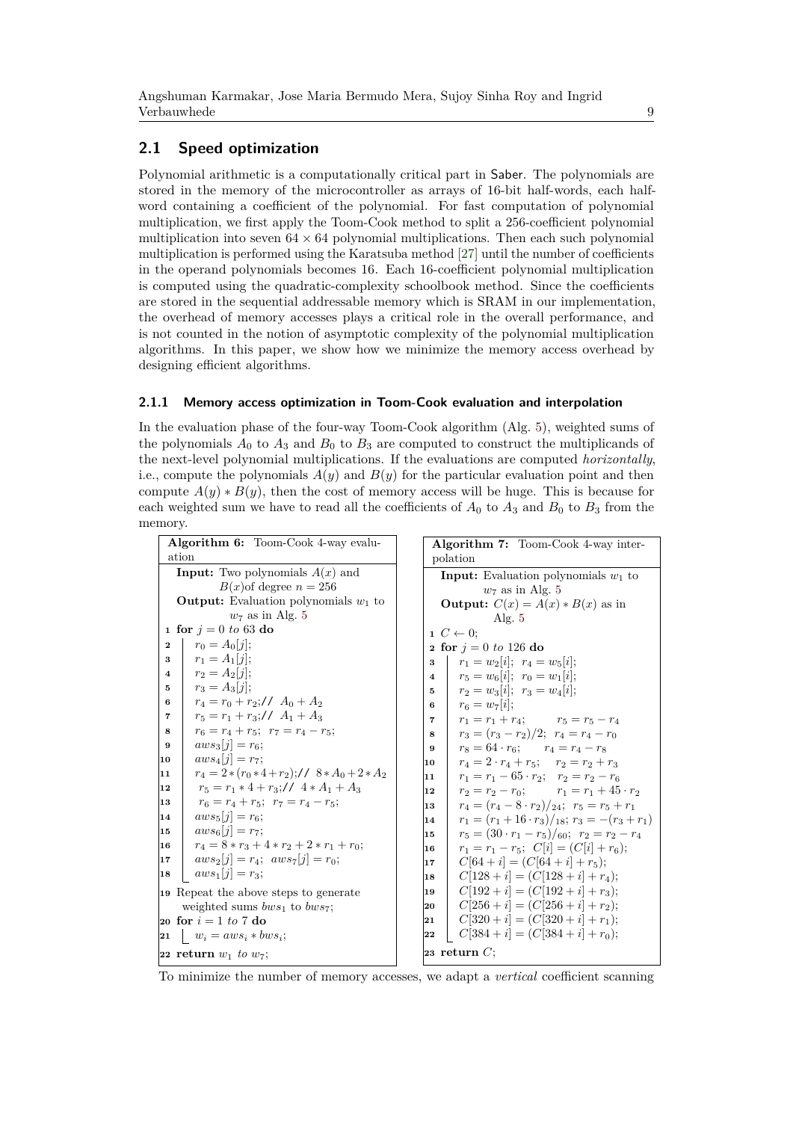### <span id="page-8-3"></span><span id="page-8-1"></span><span id="page-8-0"></span>**2.1 Speed optimization**

Polynomial arithmetic is a computationally critical part in Saber. The polynomials are stored in the memory of the microcontroller as arrays of 16-bit half-words, each halfword containing a coefficient of the polynomial. For fast computation of polynomial multiplication, we first apply the Toom-Cook method to split a 256-coefficient polynomial multiplication into seven  $64 \times 64$  polynomial multiplications. Then each such polynomial multiplication is performed using the Karatsuba method [\[27\]](#page-19-4) until the number of coefficients in the operand polynomials becomes 16. Each 16-coefficient polynomial multiplication is computed using the quadratic-complexity schoolbook method. Since the coefficients are stored in the sequential addressable memory which is SRAM in our implementation, the overhead of memory accesses plays a critical role in the overall performance, and is not counted in the notion of asymptotic complexity of the polynomial multiplication algorithms. In this paper, we show how we minimize the memory access overhead by designing efficient algorithms.

### <span id="page-8-2"></span>**2.1.1 Memory access optimization in Toom-Cook evaluation and interpolation**

In the evaluation phase of the four-way Toom-Cook algorithm (Alg. [5\)](#page-7-0), weighted sums of the polynomials  $A_0$  to  $A_3$  and  $B_0$  to  $B_3$  are computed to construct the multiplicands of the next-level polynomial multiplications. If the evaluations are computed *horizontally*, i.e., compute the polynomials  $A(y)$  and  $B(y)$  for the particular evaluation point and then compute  $A(y) * B(y)$ , then the cost of memory access will be huge. This is because for each weighted sum we have to read all the coefficients of  $A_0$  to  $A_3$  and  $B_0$  to  $B_3$  from the memory.

| <b>Algorithm 6:</b> Toom-Cook 4-way evalu-      | <b>Algorithm 7:</b> Toom-Cook 4-way inter-                      |  |  |
|-------------------------------------------------|-----------------------------------------------------------------|--|--|
| ation                                           | polation                                                        |  |  |
| <b>Input:</b> Two polynomials $A(x)$ and        | <b>Input:</b> Evaluation polynomials $w_1$ to                   |  |  |
| $B(x)$ of degree $n = 256$                      | $w_7$ as in Alg. 5                                              |  |  |
| <b>Output:</b> Evaluation polynomials $w_1$ to  | <b>Output:</b> $C(x) = A(x) * B(x)$ as in                       |  |  |
| $w_7$ as in Alg. 5                              | Alg. $5$                                                        |  |  |
| 1 for $j = 0 \text{ to } 63$ do                 | $1\ C \leftarrow 0:$                                            |  |  |
| $r_0 = A_0  j ;$<br>$\overline{2}$              | <b>2</b> for $j = 0$ to 126 do                                  |  |  |
| $r_1 = A_1  i $                                 | $r_1 = w_2[i]; r_4 = w_5[i];$                                   |  |  |
| 3                                               | 3                                                               |  |  |
| $r_2 = A_2[i]$                                  | $r_5 = w_6[i]; r_0 = w_1[i];$                                   |  |  |
| $\overline{4}$                                  | $\overline{4}$                                                  |  |  |
| $r_3 = A_3[i]$                                  | $r_2 = w_3[i]; r_3 = w_4[i];$                                   |  |  |
| 5                                               | $5 -$                                                           |  |  |
| $r_4 = r_0 + r_2$ ;// $A_0 + A_2$               | $r_6 = w_7 i $                                                  |  |  |
| 6                                               | 6 —                                                             |  |  |
| $r_5 = r_1 + r_3$ ;// $A_1 + A_3$               | $r_1 = r_1 + r_4;$ $r_5 = r_5 - r_4$                            |  |  |
| 7                                               | 7                                                               |  |  |
| $r_6 = r_4 + r_5$ ; $r_7 = r_4 - r_5$ ;         | $r_3 = (r_3 - r_2)/2$ ; $r_4 = r_4 - r_0$                       |  |  |
| 8                                               | 8                                                               |  |  |
| $aws_3 i  = r_6$                                | $r_8 = 64 \cdot r_6;$ $r_4 = r_4 - r_8$                         |  |  |
| 9                                               | 9                                                               |  |  |
| $aws_4[j] = r_7;$                               | $r_4 = 2 \cdot r_4 + r_5;$ $r_2 = r_2 + r_3$                    |  |  |
| 10                                              | 10                                                              |  |  |
| $r_4 = 2*(r_0*4+r_2)/78*A_0+2*A_2$              | $r_1 = r_1 - 65 \cdot r_2$ ; $r_2 = r_2 - r_6$                  |  |  |
| 11                                              | 11                                                              |  |  |
| $r_5 = r_1 * 4 + r_3$ ;// $4 * A_1 + A_3$       | $r_2 = r_2 - r_0;$ $r_1 = r_1 + 45 \cdot r_2$                   |  |  |
| 12                                              | 12                                                              |  |  |
| $r_6 = r_4 + r_5$ ; $r_7 = r_4 - r_5$ ;         | $r_4 = (r_4 - 8 \cdot r_2)/_{24}; r_5 = r_5 + r_1$              |  |  |
| 13                                              | 13                                                              |  |  |
| $aws_5[i] = r_6;$<br>14<br>$aws_{6}[i] = r_{7}$ | $r_1 = (r_1 + 16 \cdot r_3)/_{18}$ ; $r_3 = -(r_3 + r_1)$<br>14 |  |  |
| 15                                              | $r_5 = (30 \cdot r_1 - r_5)/60; r_2 = r_2 - r_4$                |  |  |
| $r_4 = 8*r_3 + 4*r_2 + 2*r_1 + r_0;$            | 15                                                              |  |  |
| 16                                              | $r_1 = r_1 - r_5$ ; $C[i] = (C[i] + r_6)$ ;<br>16               |  |  |
| $aws_2[i] = r_4$ ; $aws_7[i] = r_0$ ;           | $C[64 + i] = (C[64 + i] + r_5);$                                |  |  |
| 17                                              | 17                                                              |  |  |
| $aws_1[j] = r_3;$                               | $C[128 + i] = (C[128 + i] + r_4);$                              |  |  |
| 18                                              | 18                                                              |  |  |
| 19 Repeat the above steps to generate           | $C[192 + i] = (C[192 + i] + r_3);$<br>19                        |  |  |
| weighted sums $bws_1$ to $bws_7$ ;              | $C[256 + i] = (C[256 + i] + r_2);$<br>20                        |  |  |
| 20 for $i = 1$ to 7 do                          | $C[320 + i] = (C[320 + i] + r_1);$<br>21                        |  |  |
| $w_i = aws_i * bws_i;$                          | $C[384 + i] = (C[384 + i] + r_0);$                              |  |  |
| 21                                              | 22                                                              |  |  |
| 22 return $w_1$ to $w_7$ ;                      | 23 return $C$ ;                                                 |  |  |

To minimize the number of memory accesses, we adapt a *vertical* coefficient scanning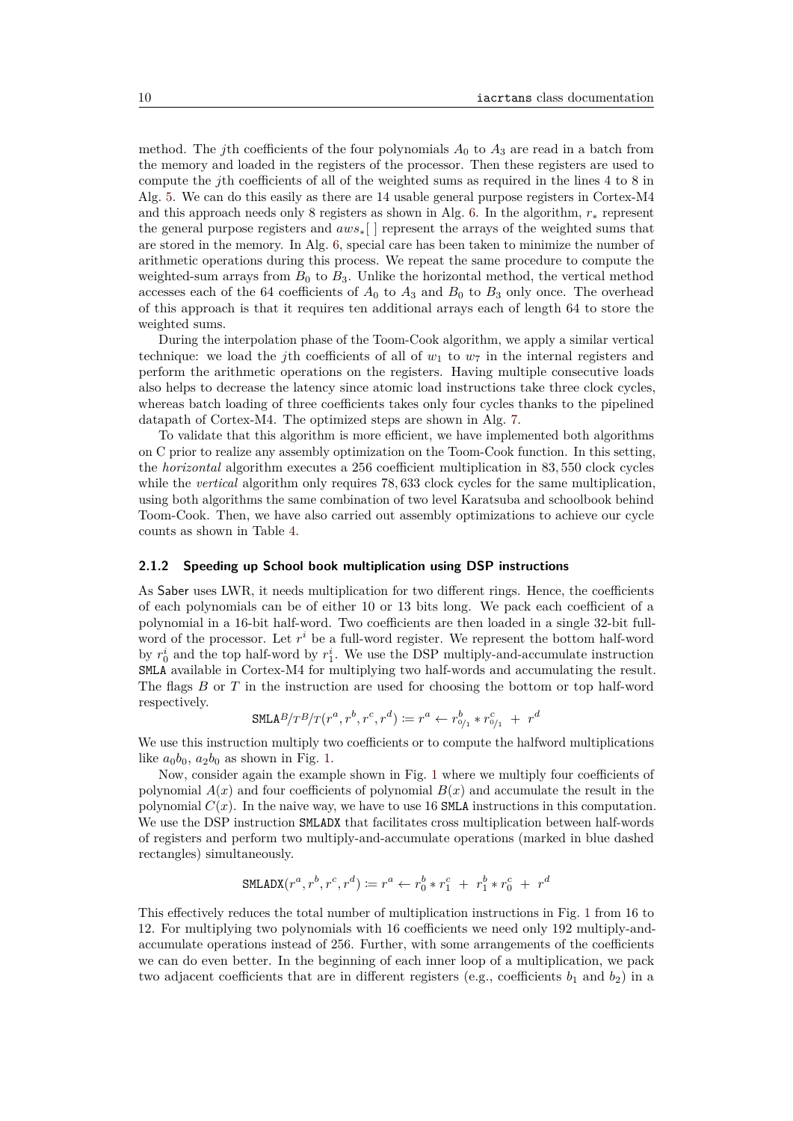method. The *j*th coefficients of the four polynomials  $A_0$  to  $A_3$  are read in a batch from the memory and loaded in the registers of the processor. Then these registers are used to compute the *j*th coefficients of all of the weighted sums as required in the lines 4 to 8 in Alg. [5.](#page-7-0) We can do this easily as there are 14 usable general purpose registers in Cortex-M4 and this approach needs only 8 registers as shown in Alg. [6.](#page-8-0) In the algorithm, *r*<sup>∗</sup> represent the general purpose registers and *aws*∗[ ] represent the arrays of the weighted sums that are stored in the memory. In Alg. [6,](#page-8-0) special care has been taken to minimize the number of arithmetic operations during this process. We repeat the same procedure to compute the weighted-sum arrays from  $B_0$  to  $B_3$ . Unlike the horizontal method, the vertical method accesses each of the 64 coefficients of  $A_0$  to  $A_3$  and  $B_0$  to  $B_3$  only once. The overhead of this approach is that it requires ten additional arrays each of length 64 to store the weighted sums.

During the interpolation phase of the Toom-Cook algorithm, we apply a similar vertical technique: we load the *j*th coefficients of all of  $w_1$  to  $w_7$  in the internal registers and perform the arithmetic operations on the registers. Having multiple consecutive loads also helps to decrease the latency since atomic load instructions take three clock cycles, whereas batch loading of three coefficients takes only four cycles thanks to the pipelined datapath of Cortex-M4. The optimized steps are shown in Alg. [7.](#page-8-1)

To validate that this algorithm is more efficient, we have implemented both algorithms on C prior to realize any assembly optimization on the Toom-Cook function. In this setting, the *horizontal* algorithm executes a 256 coefficient multiplication in 83*,* 550 clock cycles while the *vertical* algorithm only requires 78,633 clock cycles for the same multiplication, using both algorithms the same combination of two level Karatsuba and schoolbook behind Toom-Cook. Then, we have also carried out assembly optimizations to achieve our cycle counts as shown in Table [4.](#page-17-4)

#### **2.1.2 Speeding up School book multiplication using DSP instructions**

As Saber uses LWR, it needs multiplication for two different rings. Hence, the coefficients of each polynomials can be of either 10 or 13 bits long. We pack each coefficient of a polynomial in a 16-bit half-word. Two coefficients are then loaded in a single 32-bit fullword of the processor. Let  $r^i$  be a full-word register. We represent the bottom half-word by  $r_0^i$  and the top half-word by  $r_1^i$ . We use the DSP multiply-and-accumulate instruction SMLA available in Cortex-M4 for multiplying two half-words and accumulating the result. The flags *B* or *T* in the instruction are used for choosing the bottom or top half-word respectively.

$$
\texttt{SMLAB}/T^B / T(r^a, r^b, r^c, r^d) \coloneqq r^a \leftarrow r_{0/1}^b * r_{0/1}^c + r^d
$$

We use this instruction multiply two coefficients or to compute the halfword multiplications like  $a_0b_0$ ,  $a_2b_0$  as shown in Fig. [1.](#page-10-0)

Now, consider again the example shown in Fig. [1](#page-10-0) where we multiply four coefficients of polynomial  $A(x)$  and four coefficients of polynomial  $B(x)$  and accumulate the result in the polynomial  $C(x)$ . In the naive way, we have to use 16 SMLA instructions in this computation. We use the DSP instruction SMLADX that facilitates cross multiplication between half-words of registers and perform two multiply-and-accumulate operations (marked in blue dashed rectangles) simultaneously.

$$
\texttt{SMLADX}(r^a, r^b, r^c, r^d) \coloneqq r^a \leftarrow r_0^b * r_1^c + r_1^b * r_0^c + r^d
$$

This effectively reduces the total number of multiplication instructions in Fig. [1](#page-10-0) from 16 to 12. For multiplying two polynomials with 16 coefficients we need only 192 multiply-andaccumulate operations instead of 256. Further, with some arrangements of the coefficients we can do even better. In the beginning of each inner loop of a multiplication, we pack two adjacent coefficients that are in different registers (e.g., coefficients  $b_1$  and  $b_2$ ) in a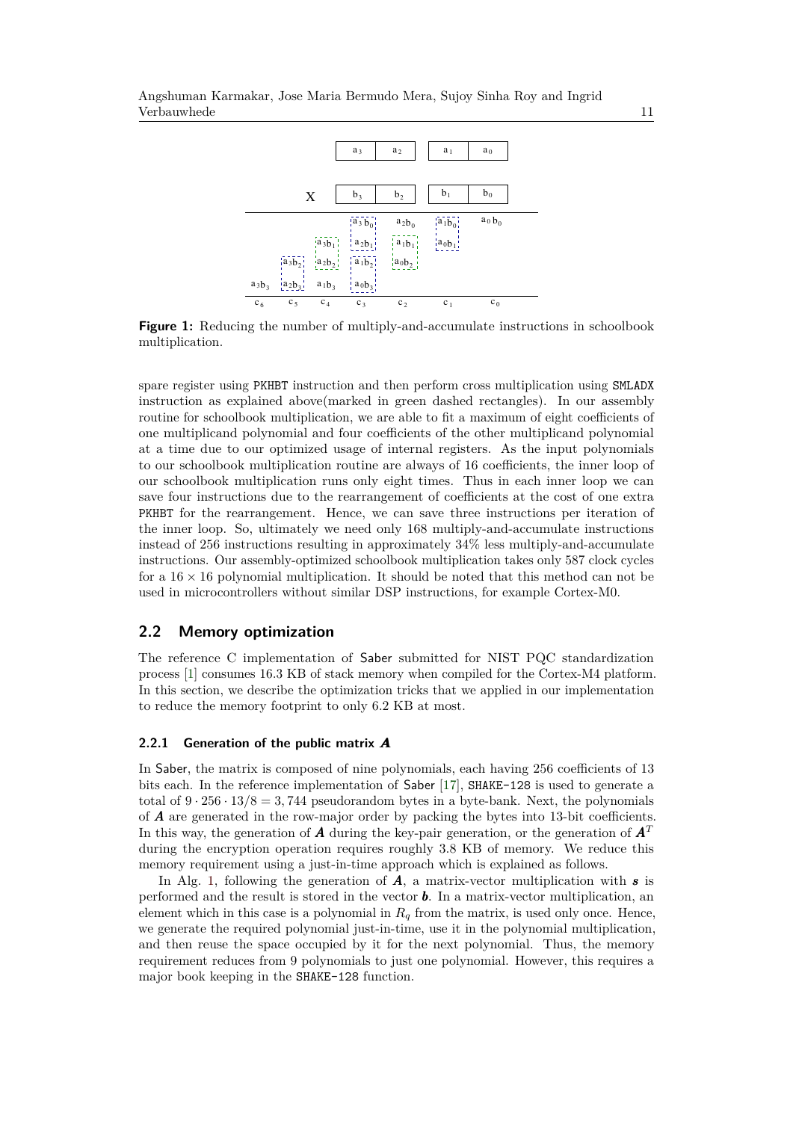<span id="page-10-0"></span>

**Figure 1:** Reducing the number of multiply-and-accumulate instructions in schoolbook multiplication.

spare register using PKHBT instruction and then perform cross multiplication using SMLADX instruction as explained above(marked in green dashed rectangles). In our assembly routine for schoolbook multiplication, we are able to fit a maximum of eight coefficients of one multiplicand polynomial and four coefficients of the other multiplicand polynomial at a time due to our optimized usage of internal registers. As the input polynomials to our schoolbook multiplication routine are always of 16 coefficients, the inner loop of our schoolbook multiplication runs only eight times. Thus in each inner loop we can save four instructions due to the rearrangement of coefficients at the cost of one extra PKHBT for the rearrangement. Hence, we can save three instructions per iteration of the inner loop. So, ultimately we need only 168 multiply-and-accumulate instructions instead of 256 instructions resulting in approximately 34% less multiply-and-accumulate instructions. Our assembly-optimized schoolbook multiplication takes only 587 clock cycles for a  $16 \times 16$  polynomial multiplication. It should be noted that this method can not be used in microcontrollers without similar DSP instructions, for example Cortex-M0.

### <span id="page-10-1"></span>**2.2 Memory optimization**

The reference C implementation of Saber submitted for NIST PQC standardization process [\[1\]](#page-17-5) consumes 16.3 KB of stack memory when compiled for the Cortex-M4 platform. In this section, we describe the optimization tricks that we applied in our implementation to reduce the memory footprint to only 6.2 KB at most.

#### **2.2.1 Generation of the public matrix** *A*

In Saber, the matrix is composed of nine polynomials, each having 256 coefficients of 13 bits each. In the reference implementation of Saber [\[17\]](#page-18-1), SHAKE-128 is used to generate a total of  $9 \cdot 256 \cdot 13/8 = 3,744$  pseudorandom bytes in a byte-bank. Next, the polynomials of *A* are generated in the row-major order by packing the bytes into 13-bit coefficients. In this way, the generation of *A* during the key-pair generation, or the generation of  $\mathbf{A}^T$ during the encryption operation requires roughly 3*.*8 KB of memory. We reduce this memory requirement using a just-in-time approach which is explained as follows.

In Alg. [1,](#page-4-0) following the generation of *A*, a matrix-vector multiplication with *s* is performed and the result is stored in the vector *b*. In a matrix-vector multiplication, an element which in this case is a polynomial in  $R_q$  from the matrix, is used only once. Hence, we generate the required polynomial just-in-time, use it in the polynomial multiplication, and then reuse the space occupied by it for the next polynomial. Thus, the memory requirement reduces from 9 polynomials to just one polynomial. However, this requires a major book keeping in the SHAKE-128 function.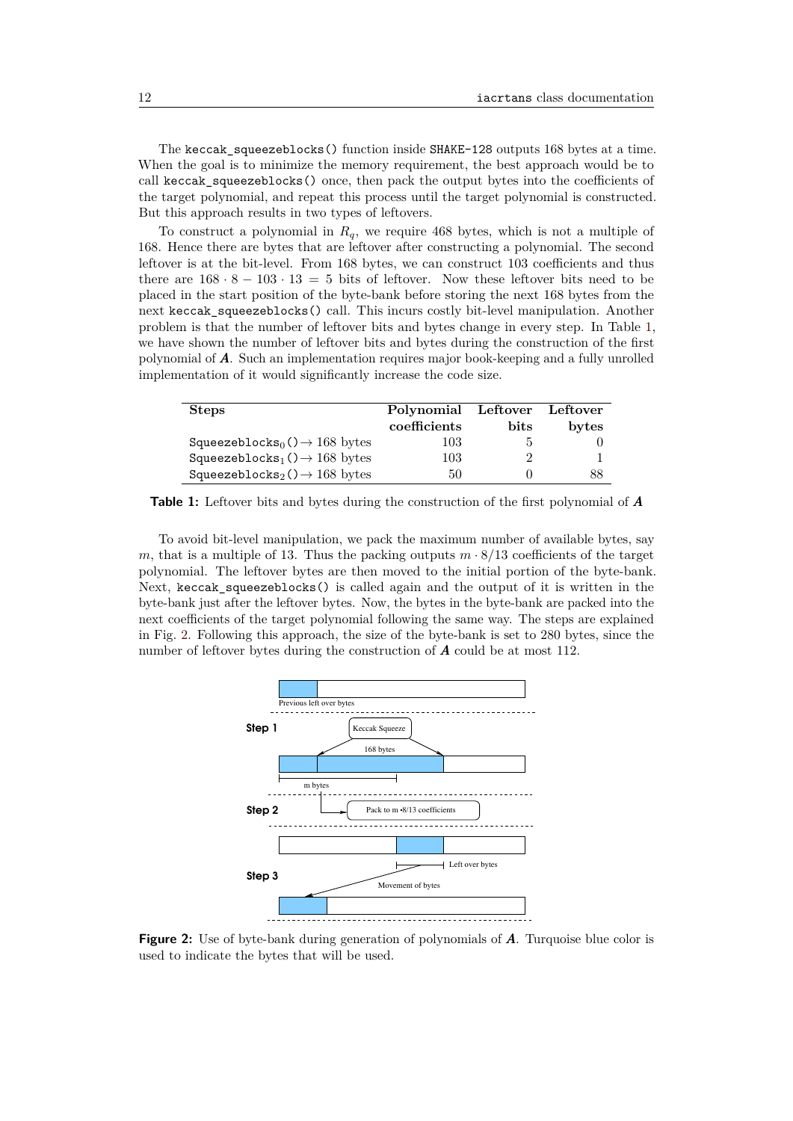The keccak\_squeezeblocks() function inside SHAKE-128 outputs 168 bytes at a time. When the goal is to minimize the memory requirement, the best approach would be to call keccak\_squeezeblocks() once, then pack the output bytes into the coefficients of the target polynomial, and repeat this process until the target polynomial is constructed. But this approach results in two types of leftovers.

To construct a polynomial in *Rq*, we require 468 bytes, which is not a multiple of 168. Hence there are bytes that are leftover after constructing a polynomial. The second leftover is at the bit-level. From 168 bytes, we can construct 103 coefficients and thus there are  $168 \cdot 8 - 103 \cdot 13 = 5$  bits of leftover. Now these leftover bits need to be placed in the start position of the byte-bank before storing the next 168 bytes from the next keccak\_squeezeblocks() call. This incurs costly bit-level manipulation. Another problem is that the number of leftover bits and bytes change in every step. In Table [1,](#page-11-0) we have shown the number of leftover bits and bytes during the construction of the first polynomial of *A*. Such an implementation requires major book-keeping and a fully unrolled implementation of it would significantly increase the code size.

<span id="page-11-0"></span>

| <b>Steps</b>                                          | Polynomial   | ${\rm Left over}$ | Leftover |
|-------------------------------------------------------|--------------|-------------------|----------|
|                                                       | coefficients | <b>bits</b>       | bytes    |
| Squeezeblocks <sub>0</sub> $() \rightarrow 168$ bytes | 103          |                   |          |
| Squeezeblocks <sub>1</sub> $() \rightarrow 168$ bytes | 103          |                   |          |
| Squeezeblocks <sub>2</sub> $() \rightarrow 168$ bytes | 50           |                   | 88       |

**Table 1:** Leftover bits and bytes during the construction of the first polynomial of *A*

To avoid bit-level manipulation, we pack the maximum number of available bytes, say *m*, that is a multiple of 13. Thus the packing outputs  $m \cdot 8/13$  coefficients of the target polynomial. The leftover bytes are then moved to the initial portion of the byte-bank. Next, keccak\_squeezeblocks() is called again and the output of it is written in the byte-bank just after the leftover bytes. Now, the bytes in the byte-bank are packed into the next coefficients of the target polynomial following the same way. The steps are explained in Fig. [2.](#page-11-1) Following this approach, the size of the byte-bank is set to 280 bytes, since the number of leftover bytes during the construction of *A* could be at most 112.

<span id="page-11-1"></span>

**Figure 2:** Use of byte-bank during generation of polynomials of *A*. Turquoise blue color is used to indicate the bytes that will be used.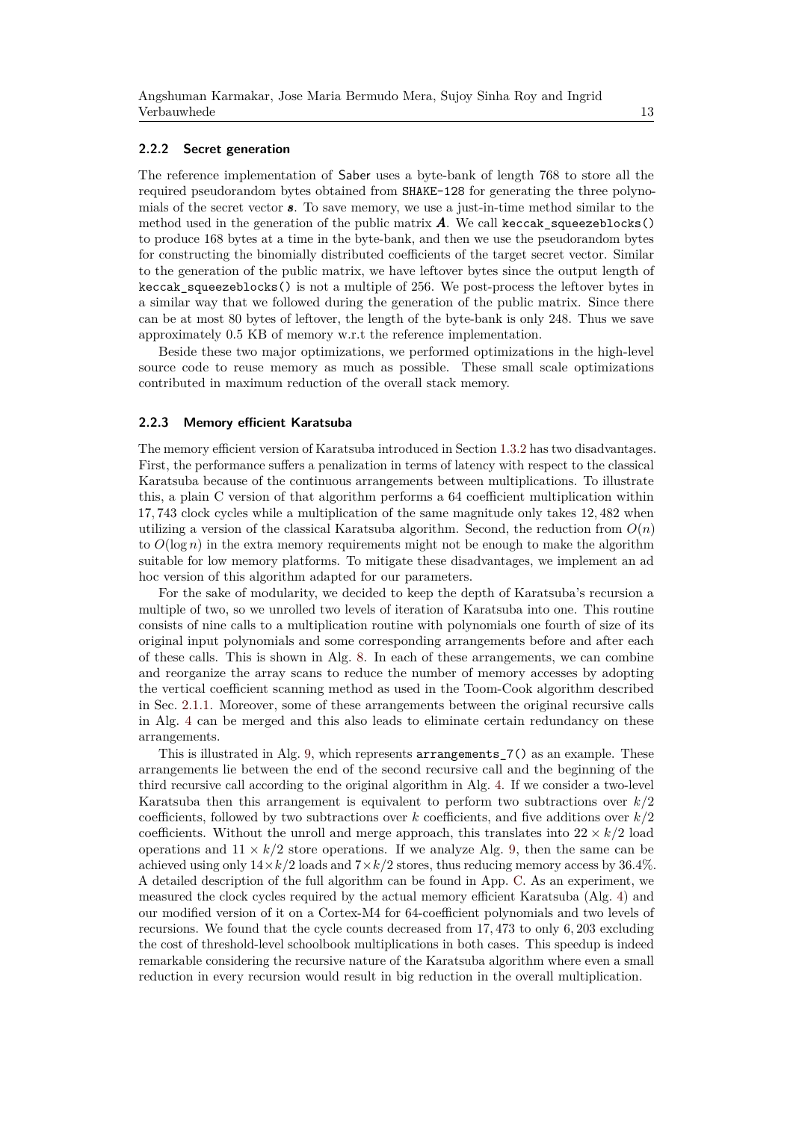#### **2.2.2 Secret generation**

The reference implementation of Saber uses a byte-bank of length 768 to store all the required pseudorandom bytes obtained from SHAKE-128 for generating the three polynomials of the secret vector *s*. To save memory, we use a just-in-time method similar to the method used in the generation of the public matrix  $\vec{A}$ . We call keccak\_squeezeblocks() to produce 168 bytes at a time in the byte-bank, and then we use the pseudorandom bytes for constructing the binomially distributed coefficients of the target secret vector. Similar to the generation of the public matrix, we have leftover bytes since the output length of keccak squeezeblocks() is not a multiple of 256. We post-process the leftover bytes in a similar way that we followed during the generation of the public matrix. Since there can be at most 80 bytes of leftover, the length of the byte-bank is only 248. Thus we save approximately 0.5 KB of memory w.r.t the reference implementation.

Beside these two major optimizations, we performed optimizations in the high-level source code to reuse memory as much as possible. These small scale optimizations contributed in maximum reduction of the overall stack memory.

#### **2.2.3 Memory efficient Karatsuba**

The memory efficient version of Karatsuba introduced in Section [1.3.2](#page-5-1) has two disadvantages. First, the performance suffers a penalization in terms of latency with respect to the classical Karatsuba because of the continuous arrangements between multiplications. To illustrate this, a plain C version of that algorithm performs a 64 coefficient multiplication within 17*,* 743 clock cycles while a multiplication of the same magnitude only takes 12*,* 482 when utilizing a version of the classical Karatsuba algorithm. Second, the reduction from  $O(n)$ to  $O(\log n)$  in the extra memory requirements might not be enough to make the algorithm suitable for low memory platforms. To mitigate these disadvantages, we implement an ad hoc version of this algorithm adapted for our parameters.

For the sake of modularity, we decided to keep the depth of Karatsuba's recursion a multiple of two, so we unrolled two levels of iteration of Karatsuba into one. This routine consists of nine calls to a multiplication routine with polynomials one fourth of size of its original input polynomials and some corresponding arrangements before and after each of these calls. This is shown in Alg. [8.](#page-13-0) In each of these arrangements, we can combine and reorganize the array scans to reduce the number of memory accesses by adopting the vertical coefficient scanning method as used in the Toom-Cook algorithm described in Sec. [2.1.1.](#page-8-2) Moreover, some of these arrangements between the original recursive calls in Alg. [4](#page-6-1) can be merged and this also leads to eliminate certain redundancy on these arrangements.

This is illustrated in Alg. [9,](#page-13-1) which represents arrangements  $7()$  as an example. These arrangements lie between the end of the second recursive call and the beginning of the third recursive call according to the original algorithm in Alg. [4.](#page-6-1) If we consider a two-level Karatsuba then this arrangement is equivalent to perform two subtractions over *k/*2 coefficients, followed by two subtractions over *k* coefficients, and five additions over *k/*2 coefficients. Without the unroll and merge approach, this translates into  $22 \times k/2$  load operations and  $11 \times k/2$  store operations. If we analyze Alg. [9,](#page-13-1) then the same can be achieved using only  $14 \times k/2$  loads and  $7 \times k/2$  stores, thus reducing memory access by 36.4%. A detailed description of the full algorithm can be found in App. [C.](#page-23-0) As an experiment, we measured the clock cycles required by the actual memory efficient Karatsuba (Alg. [4\)](#page-6-1) and our modified version of it on a Cortex-M4 for 64-coefficient polynomials and two levels of recursions. We found that the cycle counts decreased from 17*,* 473 to only 6*,* 203 excluding the cost of threshold-level schoolbook multiplications in both cases. This speedup is indeed remarkable considering the recursive nature of the Karatsuba algorithm where even a small reduction in every recursion would result in big reduction in the overall multiplication.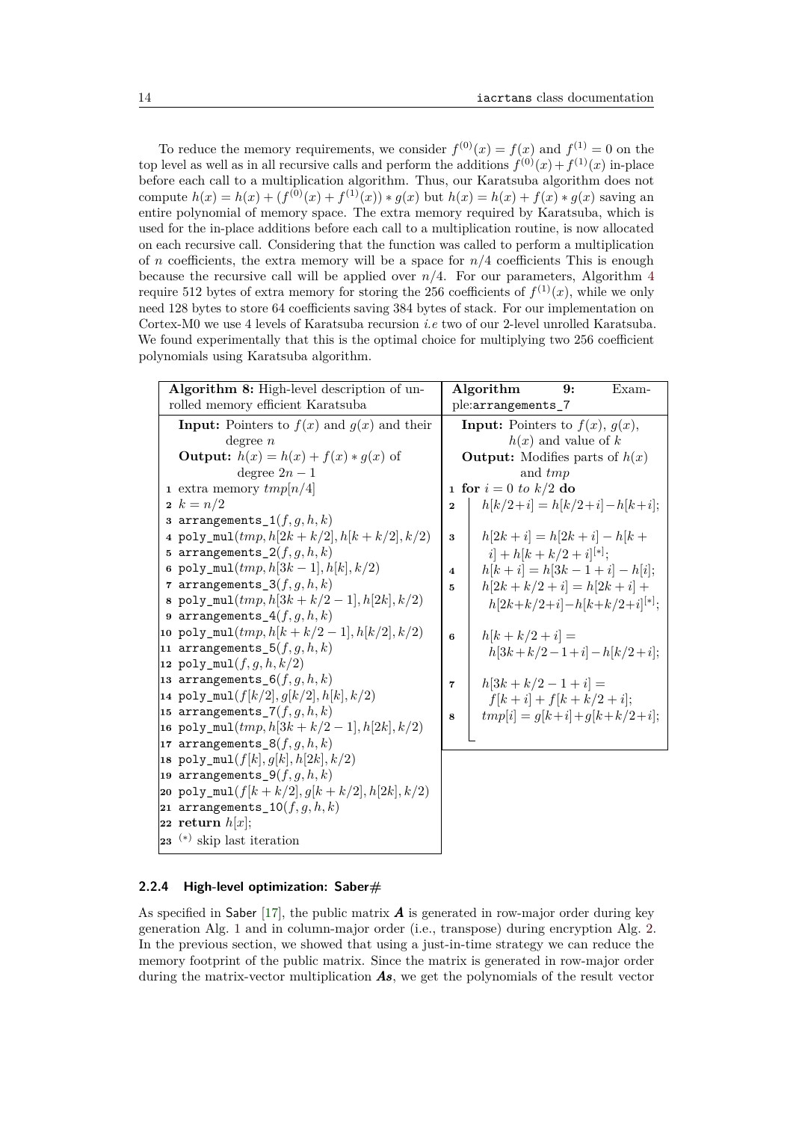To reduce the memory requirements, we consider  $f^{(0)}(x) = f(x)$  and  $f^{(1)} = 0$  on the top level as well as in all recursive calls and perform the additions  $f^{(0)}(x) + f^{(1)}(x)$  in-place before each call to a multiplication algorithm. Thus, our Karatsuba algorithm does not compute  $h(x) = h(x) + (f^{(0)}(x) + f^{(1)}(x)) * g(x)$  but  $h(x) = h(x) + f(x) * g(x)$  saving an entire polynomial of memory space. The extra memory required by Karatsuba, which is used for the in-place additions before each call to a multiplication routine, is now allocated on each recursive call. Considering that the function was called to perform a multiplication of *n* coefficients, the extra memory will be a space for *n/*4 coefficients This is enough because the recursive call will be applied over  $n/4$  $n/4$ . For our parameters, Algorithm 4 require 512 bytes of extra memory for storing the 256 coefficients of  $f^{(1)}(x)$ , while we only need 128 bytes to store 64 coefficients saving 384 bytes of stack. For our implementation on Cortex-M0 we use 4 levels of Karatsuba recursion *i.e* two of our 2-level unrolled Karatsuba. We found experimentally that this is the optimal choice for multiplying two 256 coefficient polynomials using Karatsuba algorithm.

<span id="page-13-1"></span><span id="page-13-0"></span>

| Algorithm 8: High-level description of un- |                                                                     |             | Algorithm                                   | 9:                    | $Exam-$                         |
|--------------------------------------------|---------------------------------------------------------------------|-------------|---------------------------------------------|-----------------------|---------------------------------|
| rolled memory efficient Karatsuba          |                                                                     |             | ple:arrangements_7                          |                       |                                 |
|                                            | <b>Input:</b> Pointers to $f(x)$ and $g(x)$ and their<br>degree $n$ |             | <b>Input:</b> Pointers to $f(x)$ , $g(x)$ , | $h(x)$ and value of k |                                 |
|                                            | <b>Output:</b> $h(x) = h(x) + f(x) * g(x)$ of                       |             | <b>Output:</b> Modifies parts of $h(x)$     |                       |                                 |
|                                            | degree $2n-1$                                                       |             | and <i>tmp</i>                              |                       |                                 |
|                                            | 1 extra memory $tmp[n/4]$                                           |             | <b>1 for</b> $i = 0$ to $k/2$ do            |                       |                                 |
|                                            | 2 $k = n/2$                                                         | $\mathbf 2$ |                                             |                       | $h[k/2+i] = h[k/2+i] - h[k+i];$ |
|                                            | 3 arrangements $1(f, g, h, k)$                                      |             |                                             |                       |                                 |
|                                            | 4 poly_mul( $tmp, h[2k+k/2], h[k+k/2], k/2)$                        | 3           | $h[2k+i] = h[2k+i] - h[k+$                  |                       |                                 |
|                                            | 5 arrangements $2(f, g, h, k)$                                      |             | $i + h[k + k/2 + i]^{[*]};$                 |                       |                                 |
|                                            | 6 poly_mul( $tmp, h[3k-1], h[k], k/2)$                              | 4           | $h[k+i] = h[3k-1+i] - h[i];$                |                       |                                 |
|                                            | 7 arrangements $3(f, g, h, k)$                                      | 5.          | $h[2k+k/2+i] = h[2k+i] +$                   |                       |                                 |
|                                            | 8 poly_mul( $tmp, h[3k+k/2-1], h[2k], k/2)$                         |             |                                             |                       | $h[2k+k/2+i]-h[k+k/2+i]^{[*]};$ |
|                                            | 9 arrangements $4(f, g, h, k)$                                      |             |                                             |                       |                                 |
|                                            | 10 poly_mul( $tmp, h[k+k/2-1], h[k/2], k/2)$                        | 6           | $h[k+k/2+i] =$                              |                       |                                 |
|                                            | 11 arrangements $5(f, q, h, k)$                                     |             |                                             |                       | $h[3k+k/2-1+i]-h[k/2+i];$       |
|                                            | 12 poly_mul( $f, g, h, k/2$ )                                       |             |                                             |                       |                                 |
|                                            | 13 arrangements $6(f, g, h, k)$                                     | 7           | $h[3k+k/2-1+i] =$                           |                       |                                 |
|                                            | 14 $\text{poly\_mul}(f[k/2], g[k/2], h[k], k/2)$                    |             | $f[k+i] + f[k+k/2+i];$                      |                       |                                 |
|                                            | 15 arrangements $7(f, g, h, k)$                                     | 8           |                                             |                       | $tmp[i] = q[k+i] + q[k+k/2+i];$ |
|                                            | 16 poly_mul( $tmp, h[3k+k/2-1], h[2k], k/2)$                        |             |                                             |                       |                                 |
|                                            | 17 arrangements $8(f, q, h, k)$                                     |             |                                             |                       |                                 |
|                                            | 18 poly_mul( $f[k], g[k], h[2k], k/2$ )                             |             |                                             |                       |                                 |
|                                            | 19 arrangements_9 $(f, g, h, k)$                                    |             |                                             |                       |                                 |
|                                            | 20 poly_mul( $f[k+k/2], g[k+k/2], h[2k], k/2$ )                     |             |                                             |                       |                                 |
|                                            | 21 arrangements_ $10(f,g,h,k)$                                      |             |                                             |                       |                                 |
|                                            | 22 return $h[x]$ ;                                                  |             |                                             |                       |                                 |
|                                            | $23$ <sup>(*)</sup> skip last iteration                             |             |                                             |                       |                                 |

#### <span id="page-13-2"></span>**2.2.4 High-level optimization: Saber#**

As specified in Saber [\[17\]](#page-18-1), the public matrix  $\boldsymbol{A}$  is generated in row-major order during key generation Alg. [1](#page-4-0) and in column-major order (i.e., transpose) during encryption Alg. [2.](#page-4-1) In the previous section, we showed that using a just-in-time strategy we can reduce the memory footprint of the public matrix. Since the matrix is generated in row-major order during the matrix-vector multiplication *As*, we get the polynomials of the result vector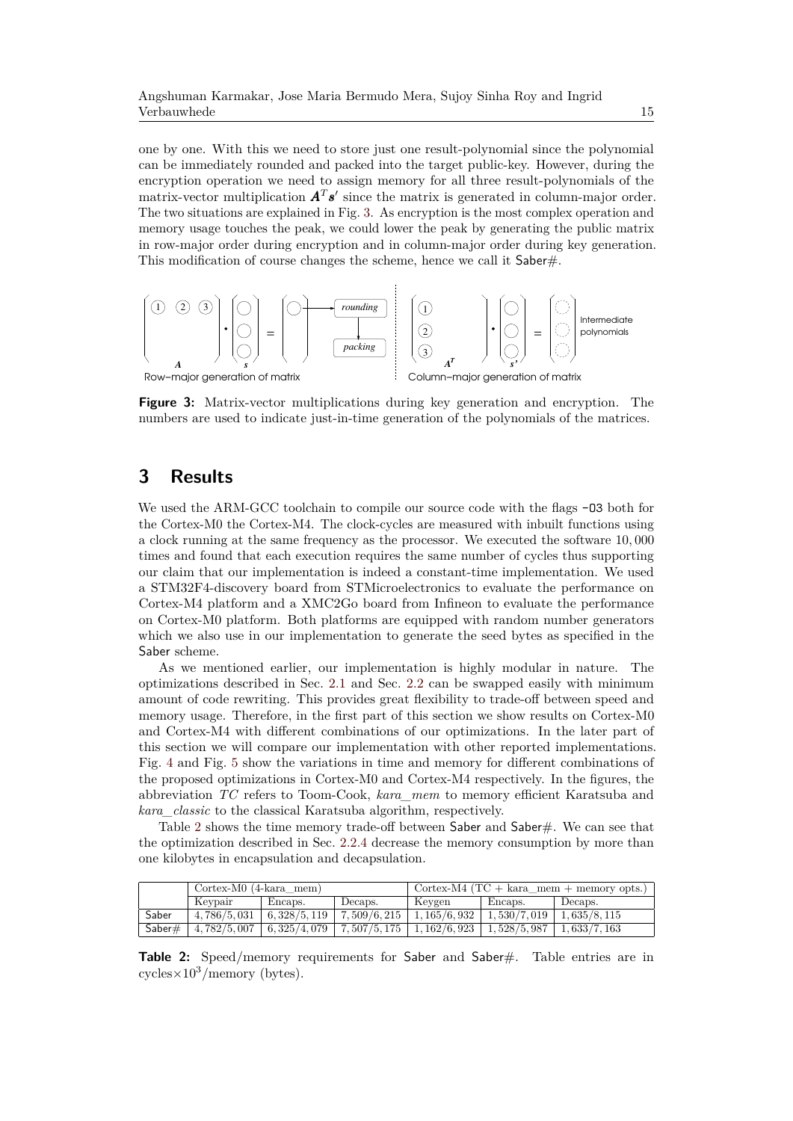one by one. With this we need to store just one result-polynomial since the polynomial can be immediately rounded and packed into the target public-key. However, during the encryption operation we need to assign memory for all three result-polynomials of the matrix-vector multiplication  $A^T s'$  since the matrix is generated in column-major order. The two situations are explained in Fig. [3.](#page-14-0) As encryption is the most complex operation and memory usage touches the peak, we could lower the peak by generating the public matrix in row-major order during encryption and in column-major order during key generation. This modification of course changes the scheme, hence we call it Saber#.

<span id="page-14-0"></span>

**Figure 3:** Matrix-vector multiplications during key generation and encryption. The numbers are used to indicate just-in-time generation of the polynomials of the matrices.

## **3 Results**

We used the ARM-GCC toolchain to compile our source code with the flags  $-03$  both for the Cortex-M0 the Cortex-M4. The clock-cycles are measured with inbuilt functions using a clock running at the same frequency as the processor. We executed the software 10*,* 000 times and found that each execution requires the same number of cycles thus supporting our claim that our implementation is indeed a constant-time implementation. We used a STM32F4-discovery board from STMicroelectronics to evaluate the performance on Cortex-M4 platform and a XMC2Go board from Infineon to evaluate the performance on Cortex-M0 platform. Both platforms are equipped with random number generators which we also use in our implementation to generate the seed bytes as specified in the Saber scheme.

As we mentioned earlier, our implementation is highly modular in nature. The optimizations described in Sec. [2.1](#page-8-3) and Sec. [2.2](#page-10-1) can be swapped easily with minimum amount of code rewriting. This provides great flexibility to trade-off between speed and memory usage. Therefore, in the first part of this section we show results on Cortex-M0 and Cortex-M4 with different combinations of our optimizations. In the later part of this section we will compare our implementation with other reported implementations. Fig. [4](#page-15-0) and Fig. [5](#page-15-1) show the variations in time and memory for different combinations of the proposed optimizations in Cortex-M0 and Cortex-M4 respectively. In the figures, the abbreviation *TC* refers to Toom-Cook, *kara\_mem* to memory efficient Karatsuba and *kara\_classic* to the classical Karatsuba algorithm, respectively.

Table [2](#page-14-1) shows the time memory trade-off between Saber and Saber#. We can see that the optimization described in Sec. [2.2.4](#page-13-2) decrease the memory consumption by more than one kilobytes in encapsulation and decapsulation.

<span id="page-14-1"></span>

|        | $Cortex-M0$ (4-kara mem) |             |                               | Gortex-M4 (TC + kara_mem + memory opts.) $\prime$ |             |             |
|--------|--------------------------|-------------|-------------------------------|---------------------------------------------------|-------------|-------------|
|        | Kevpair                  | Encaps.     | Decaps.                       | Keygen                                            | Encaps.     | Decaps.     |
| Saber  | 4.786/5.031              | 6,328/5,119 | $\mid 7.509/6.215 \mid$       | 1,165/6,932                                       | 1,530/7,019 | 1,635/8,115 |
| Saber# | 4,782/5,007              |             | $6,325/4,079$   $7,507/5,175$ | $\mid$ 1, 162/6, 923 $\mid$                       | 1,528/5,987 | 1,633/7,163 |

Table 2: Speed/memory requirements for Saber and Saber#. Table entries are in cycles $\times 10^3/m$ emory (bytes).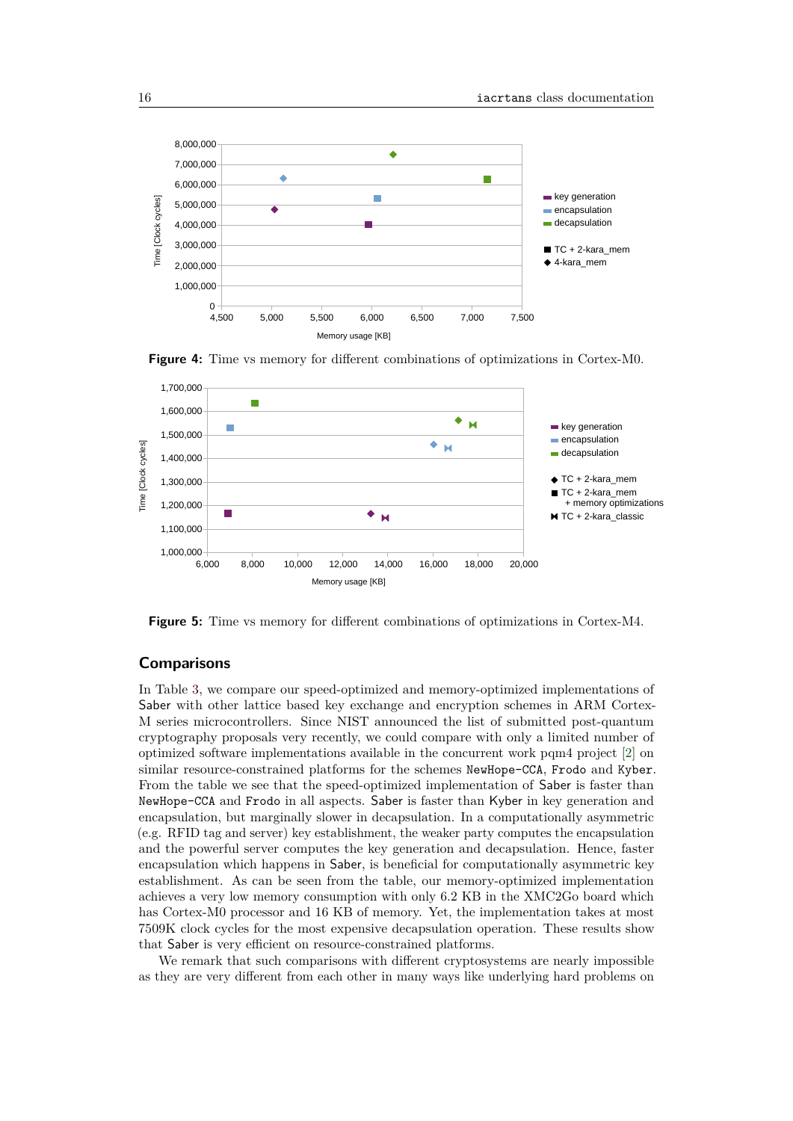<span id="page-15-0"></span>



<span id="page-15-1"></span>

**Figure 5:** Time vs memory for different combinations of optimizations in Cortex-M4.

### **Comparisons**

In Table [3,](#page-16-0) we compare our speed-optimized and memory-optimized implementations of Saber with other lattice based key exchange and encryption schemes in ARM Cortex-M series microcontrollers. Since NIST announced the list of submitted post-quantum cryptography proposals very recently, we could compare with only a limited number of optimized software implementations available in the concurrent work pqm4 project [\[2\]](#page-17-2) on similar resource-constrained platforms for the schemes NewHope-CCA, Frodo and Kyber. From the table we see that the speed-optimized implementation of Saber is faster than NewHope-CCA and Frodo in all aspects. Saber is faster than Kyber in key generation and encapsulation, but marginally slower in decapsulation. In a computationally asymmetric (e.g. RFID tag and server) key establishment, the weaker party computes the encapsulation and the powerful server computes the key generation and decapsulation. Hence, faster encapsulation which happens in Saber, is beneficial for computationally asymmetric key establishment. As can be seen from the table, our memory-optimized implementation achieves a very low memory consumption with only 6.2 KB in the XMC2Go board which has Cortex-M0 processor and 16 KB of memory. Yet, the implementation takes at most 7509K clock cycles for the most expensive decapsulation operation. These results show that Saber is very efficient on resource-constrained platforms.

We remark that such comparisons with different cryptosystems are nearly impossible as they are very different from each other in many ways like underlying hard problems on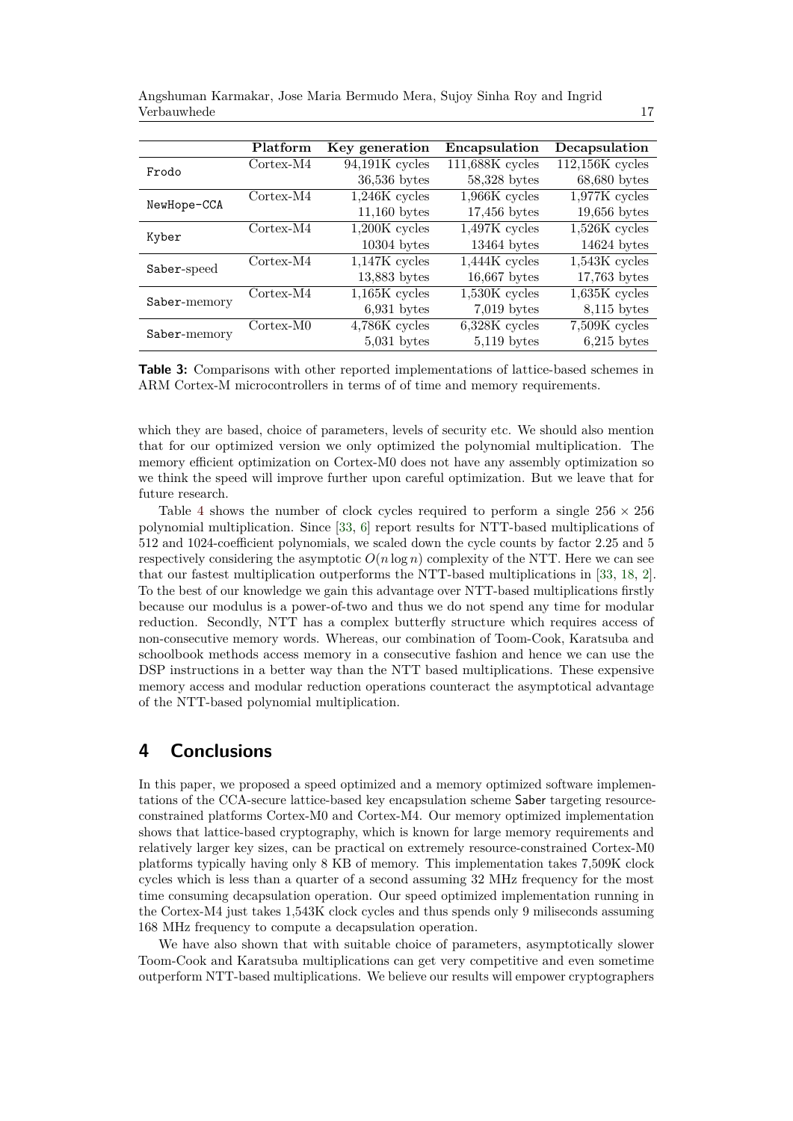| Angshuman Karmakar, Jose Maria Bermudo Mera, Sujoy Sinha Roy and Ingrid |  |
|-------------------------------------------------------------------------|--|
| Verbauwhede                                                             |  |

<span id="page-16-0"></span>

|              | Platform    | Key generation   | Encapsulation   | Decapsulation     |
|--------------|-------------|------------------|-----------------|-------------------|
| Frodo        | Cortex-M4   | $94,191K$ cycles | 111,688K cycles | $112,156K$ cycles |
|              |             | $36,536$ bytes   | 58,328 bytes    | $68,680$ bytes    |
|              | $Cortex-M4$ | $1,246K$ cycles  | $1,966K$ cycles | $1,977K$ cycles   |
| NewHope-CCA  |             | $11,160$ bytes   | $17,456$ bytes  | $19,656$ bytes    |
| Kyber        | $Cortex-M4$ | $1,200K$ cycles  | $1,497K$ cycles | $1,526K$ cycles   |
|              |             | $10304$ bytes    | $13464$ bytes   | $14624$ bytes     |
| Saber-speed  | $Cortex-M4$ | $1,147K$ cycles  | 1,444K cycles   | $1,543K$ cycles   |
|              |             | $13,883$ bytes   | $16,667$ bytes  | $17,763$ bytes    |
| Saber-memory | $Cortex-M4$ | $1,165K$ cycles  | $1,530K$ cycles | $1,635K$ cycles   |
|              |             | $6,931$ bytes    | $7,019$ bytes   | $8,115$ bytes     |
|              | Cortex-M0   | $4,786K$ cycles  | $6,328K$ cycles | 7,509K cycles     |
|              |             | $5,031$ bytes    | $5,119$ bytes   | $6,215$ bytes     |
| Saber-memory |             |                  |                 |                   |

**Table 3:** Comparisons with other reported implementations of lattice-based schemes in ARM Cortex-M microcontrollers in terms of of time and memory requirements.

which they are based, choice of parameters, levels of security etc. We should also mention that for our optimized version we only optimized the polynomial multiplication. The memory efficient optimization on Cortex-M0 does not have any assembly optimization so we think the speed will improve further upon careful optimization. But we leave that for future research.

Table [4](#page-17-4) shows the number of clock cycles required to perform a single  $256 \times 256$ polynomial multiplication. Since [\[33,](#page-19-5) [6\]](#page-18-3) report results for NTT-based multiplications of 512 and 1024-coefficient polynomials, we scaled down the cycle counts by factor 2.25 and 5 respectively considering the asymptotic  $O(n \log n)$  complexity of the NTT. Here we can see that our fastest multiplication outperforms the NTT-based multiplications in [\[33,](#page-19-5) [18,](#page-18-4) [2\]](#page-17-2). To the best of our knowledge we gain this advantage over NTT-based multiplications firstly because our modulus is a power-of-two and thus we do not spend any time for modular reduction. Secondly, NTT has a complex butterfly structure which requires access of non-consecutive memory words. Whereas, our combination of Toom-Cook, Karatsuba and schoolbook methods access memory in a consecutive fashion and hence we can use the DSP instructions in a better way than the NTT based multiplications. These expensive memory access and modular reduction operations counteract the asymptotical advantage of the NTT-based polynomial multiplication.

## **4 Conclusions**

In this paper, we proposed a speed optimized and a memory optimized software implementations of the CCA-secure lattice-based key encapsulation scheme Saber targeting resourceconstrained platforms Cortex-M0 and Cortex-M4. Our memory optimized implementation shows that lattice-based cryptography, which is known for large memory requirements and relatively larger key sizes, can be practical on extremely resource-constrained Cortex-M0 platforms typically having only 8 KB of memory. This implementation takes 7,509K clock cycles which is less than a quarter of a second assuming 32 MHz frequency for the most time consuming decapsulation operation. Our speed optimized implementation running in the Cortex-M4 just takes 1,543K clock cycles and thus spends only 9 miliseconds assuming 168 MHz frequency to compute a decapsulation operation.

We have also shown that with suitable choice of parameters, asymptotically slower Toom-Cook and Karatsuba multiplications can get very competitive and even sometime outperform NTT-based multiplications. We believe our results will empower cryptographers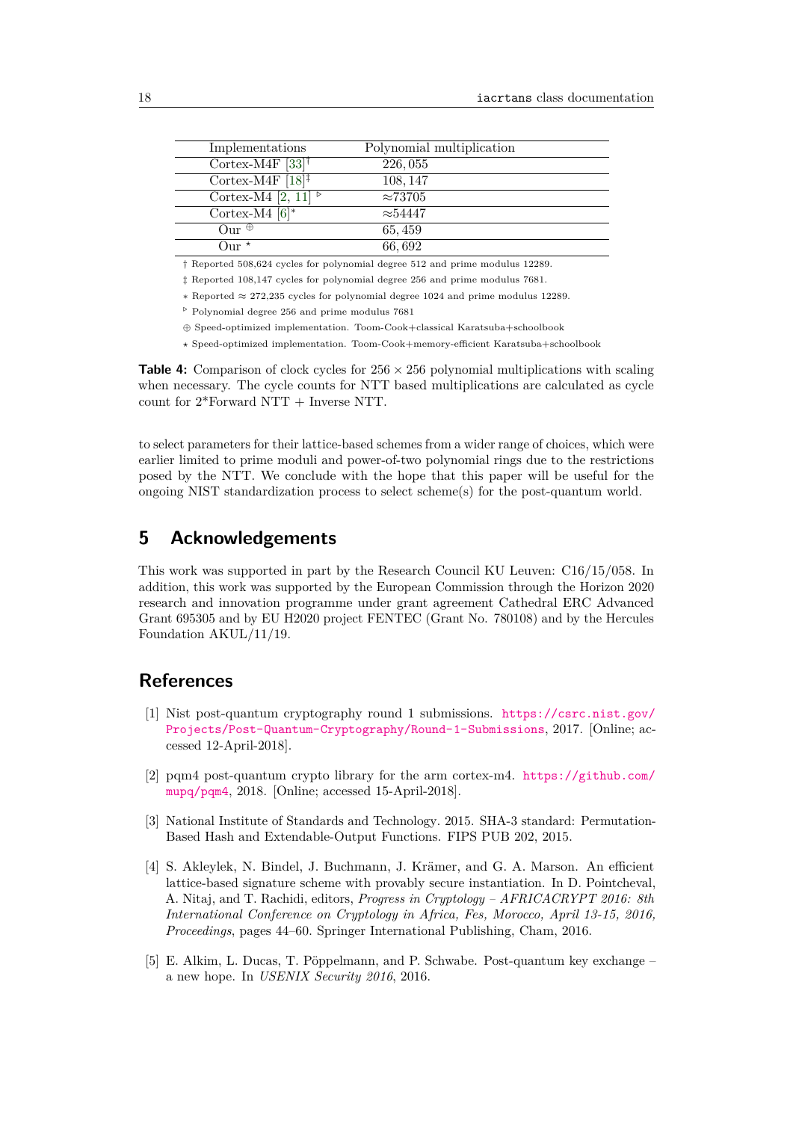<span id="page-17-4"></span>

| Implementations                                    | Polynomial multiplication |  |
|----------------------------------------------------|---------------------------|--|
| Cortex-M4F $[33]^\dagger$                          | 226, 055                  |  |
| Cortex-M4F $[18]$ <sup><math>\ddagger</math></sup> | 108, 147                  |  |
| Cortex-M4 $\overline{[2,11]}^{\triangleright}$     | $\approx 73705$           |  |
| Cortex-M4 $[6]^*$                                  | $\approx$ 54447           |  |
| Our $\oplus$                                       | 65, 459                   |  |
| Our *                                              | 66,692                    |  |

† Reported 508,624 cycles for polynomial degree 512 and prime modulus 12289.

‡ Reported 108,147 cycles for polynomial degree 256 and prime modulus 7681.

∗ Reported ≈ 272,235 cycles for polynomial degree 1024 and prime modulus 12289.

 $^{\triangleright}$  Polynomial degree 256 and prime modulus  $7681$ 

⊕ Speed-optimized implementation. Toom-Cook+classical Karatsuba+schoolbook

*?* Speed-optimized implementation. Toom-Cook+memory-efficient Karatsuba+schoolbook

**Table 4:** Comparison of clock cycles for  $256 \times 256$  polynomial multiplications with scaling when necessary. The cycle counts for NTT based multiplications are calculated as cycle count for  $2*$ Forward NTT + Inverse NTT.

to select parameters for their lattice-based schemes from a wider range of choices, which were earlier limited to prime moduli and power-of-two polynomial rings due to the restrictions posed by the NTT. We conclude with the hope that this paper will be useful for the ongoing NIST standardization process to select scheme(s) for the post-quantum world.

## **5 Acknowledgements**

This work was supported in part by the Research Council KU Leuven: C16/15/058. In addition, this work was supported by the European Commission through the Horizon 2020 research and innovation programme under grant agreement Cathedral ERC Advanced Grant 695305 and by EU H2020 project FENTEC (Grant No. 780108) and by the Hercules Foundation AKUL/11/19.

## **References**

- <span id="page-17-5"></span>[1] Nist post-quantum cryptography round 1 submissions. [https://csrc.nist.gov/](https://csrc.nist.gov/Projects/Post-Quantum-Cryptography/Round-1-Submissions) [Projects/Post-Quantum-Cryptography/Round-1-Submissions](https://csrc.nist.gov/Projects/Post-Quantum-Cryptography/Round-1-Submissions), 2017. [Online; accessed 12-April-2018].
- <span id="page-17-2"></span>[2] pqm4 post-quantum crypto library for the arm cortex-m4. [https://github.com/](https://github.com/mupq/pqm4) [mupq/pqm4](https://github.com/mupq/pqm4), 2018. [Online; accessed 15-April-2018].
- <span id="page-17-3"></span>[3] National Institute of Standards and Technology. 2015. SHA-3 standard: Permutation-Based Hash and Extendable-Output Functions. FIPS PUB 202, 2015.
- <span id="page-17-1"></span>[4] S. Akleylek, N. Bindel, J. Buchmann, J. Krämer, and G. A. Marson. An efficient lattice-based signature scheme with provably secure instantiation. In D. Pointcheval, A. Nitaj, and T. Rachidi, editors, *Progress in Cryptology – AFRICACRYPT 2016: 8th International Conference on Cryptology in Africa, Fes, Morocco, April 13-15, 2016, Proceedings*, pages 44–60. Springer International Publishing, Cham, 2016.
- <span id="page-17-0"></span>[5] E. Alkim, L. Ducas, T. Pöppelmann, and P. Schwabe. Post-quantum key exchange – a new hope. In *USENIX Security 2016*, 2016.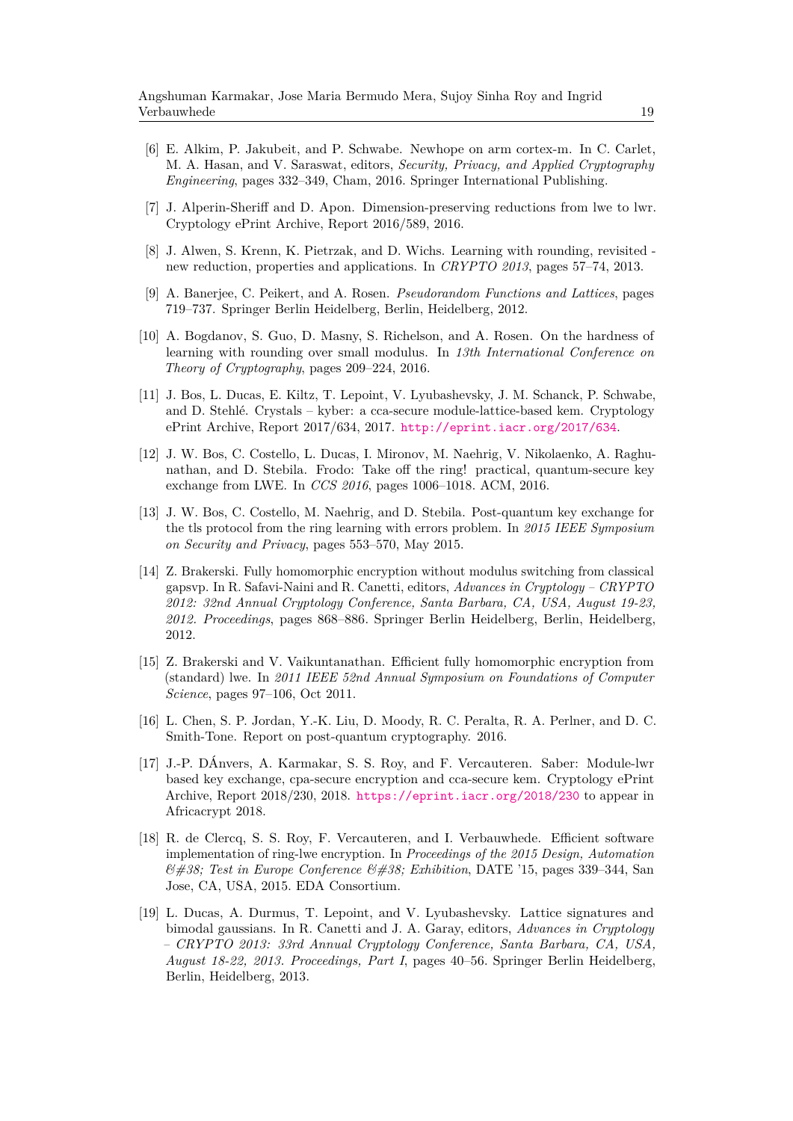- <span id="page-18-3"></span>[6] E. Alkim, P. Jakubeit, and P. Schwabe. Newhope on arm cortex-m. In C. Carlet, M. A. Hasan, and V. Saraswat, editors, *Security, Privacy, and Applied Cryptography Engineering*, pages 332–349, Cham, 2016. Springer International Publishing.
- <span id="page-18-8"></span>[7] J. Alperin-Sheriff and D. Apon. Dimension-preserving reductions from lwe to lwr. Cryptology ePrint Archive, Report 2016/589, 2016.
- <span id="page-18-6"></span>[8] J. Alwen, S. Krenn, K. Pietrzak, and D. Wichs. Learning with rounding, revisited new reduction, properties and applications. In *CRYPTO 2013*, pages 57–74, 2013.
- <span id="page-18-5"></span>[9] A. Banerjee, C. Peikert, and A. Rosen. *Pseudorandom Functions and Lattices*, pages 719–737. Springer Berlin Heidelberg, Berlin, Heidelberg, 2012.
- <span id="page-18-7"></span>[10] A. Bogdanov, S. Guo, D. Masny, S. Richelson, and A. Rosen. On the hardness of learning with rounding over small modulus. In *13th International Conference on Theory of Cryptography*, pages 209–224, 2016.
- <span id="page-18-2"></span>[11] J. Bos, L. Ducas, E. Kiltz, T. Lepoint, V. Lyubashevsky, J. M. Schanck, P. Schwabe, and D. Stehlé. Crystals – kyber: a cca-secure module-lattice-based kem. Cryptology ePrint Archive, Report 2017/634, 2017. <http://eprint.iacr.org/2017/634>.
- <span id="page-18-10"></span>[12] J. W. Bos, C. Costello, L. Ducas, I. Mironov, M. Naehrig, V. Nikolaenko, A. Raghunathan, and D. Stebila. Frodo: Take off the ring! practical, quantum-secure key exchange from LWE. In *CCS 2016*, pages 1006–1018. ACM, 2016.
- <span id="page-18-9"></span>[13] J. W. Bos, C. Costello, M. Naehrig, and D. Stebila. Post-quantum key exchange for the tls protocol from the ring learning with errors problem. In *2015 IEEE Symposium on Security and Privacy*, pages 553–570, May 2015.
- <span id="page-18-13"></span>[14] Z. Brakerski. Fully homomorphic encryption without modulus switching from classical gapsvp. In R. Safavi-Naini and R. Canetti, editors, *Advances in Cryptology – CRYPTO 2012: 32nd Annual Cryptology Conference, Santa Barbara, CA, USA, August 19-23, 2012. Proceedings*, pages 868–886. Springer Berlin Heidelberg, Berlin, Heidelberg, 2012.
- <span id="page-18-12"></span>[15] Z. Brakerski and V. Vaikuntanathan. Efficient fully homomorphic encryption from (standard) lwe. In *2011 IEEE 52nd Annual Symposium on Foundations of Computer Science*, pages 97–106, Oct 2011.
- <span id="page-18-0"></span>[16] L. Chen, S. P. Jordan, Y.-K. Liu, D. Moody, R. C. Peralta, R. A. Perlner, and D. C. Smith-Tone. Report on post-quantum cryptography. 2016.
- <span id="page-18-1"></span>[17] J.-P. DÁnvers, A. Karmakar, S. S. Roy, and F. Vercauteren. Saber: Module-lwr based key exchange, cpa-secure encryption and cca-secure kem. Cryptology ePrint Archive, Report 2018/230, 2018. <https://eprint.iacr.org/2018/230> to appear in Africacrypt 2018.
- <span id="page-18-4"></span>[18] R. de Clercq, S. S. Roy, F. Vercauteren, and I. Verbauwhede. Efficient software implementation of ring-lwe encryption. In *Proceedings of the 2015 Design, Automation & Test in Europe Conference & Exhibition*, DATE '15, pages 339–344, San Jose, CA, USA, 2015. EDA Consortium.
- <span id="page-18-11"></span>[19] L. Ducas, A. Durmus, T. Lepoint, and V. Lyubashevsky. Lattice signatures and bimodal gaussians. In R. Canetti and J. A. Garay, editors, *Advances in Cryptology – CRYPTO 2013: 33rd Annual Cryptology Conference, Santa Barbara, CA, USA, August 18-22, 2013. Proceedings, Part I*, pages 40–56. Springer Berlin Heidelberg, Berlin, Heidelberg, 2013.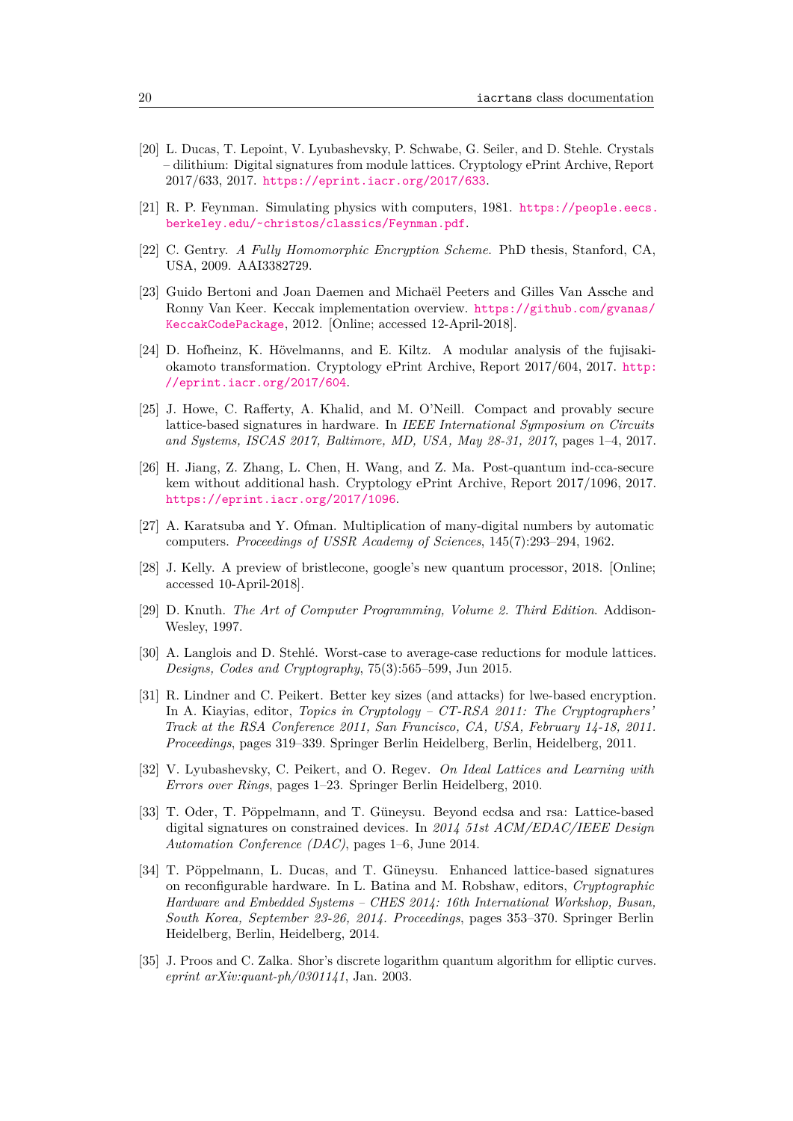- <span id="page-19-12"></span>[20] L. Ducas, T. Lepoint, V. Lyubashevsky, P. Schwabe, G. Seiler, and D. Stehle. Crystals – dilithium: Digital signatures from module lattices. Cryptology ePrint Archive, Report 2017/633, 2017. <https://eprint.iacr.org/2017/633>.
- <span id="page-19-0"></span>[21] R. P. Feynman. Simulating physics with computers, 1981. [https://people.eecs.](https://people.eecs.berkeley.edu/~christos/classics/Feynman.pdf) [berkeley.edu/~christos/classics/Feynman.pdf](https://people.eecs.berkeley.edu/~christos/classics/Feynman.pdf).
- <span id="page-19-8"></span>[22] C. Gentry. *A Fully Homomorphic Encryption Scheme*. PhD thesis, Stanford, CA, USA, 2009. AAI3382729.
- <span id="page-19-15"></span>[23] Guido Bertoni and Joan Daemen and Michaël Peeters and Gilles Van Assche and Ronny Van Keer. Keccak implementation overview. [https://github.com/gvanas/](https://github.com/gvanas/KeccakCodePackage) [KeccakCodePackage](https://github.com/gvanas/KeccakCodePackage), 2012. [Online; accessed 12-April-2018].
- <span id="page-19-13"></span>[24] D. Hofheinz, K. Hövelmanns, and E. Kiltz. A modular analysis of the fujisakiokamoto transformation. Cryptology ePrint Archive, Report 2017/604, 2017. [http:](http://eprint.iacr.org/2017/604) [//eprint.iacr.org/2017/604](http://eprint.iacr.org/2017/604).
- <span id="page-19-10"></span>[25] J. Howe, C. Rafferty, A. Khalid, and M. O'Neill. Compact and provably secure lattice-based signatures in hardware. In *IEEE International Symposium on Circuits and Systems, ISCAS 2017, Baltimore, MD, USA, May 28-31, 2017*, pages 1–4, 2017.
- <span id="page-19-14"></span>[26] H. Jiang, Z. Zhang, L. Chen, H. Wang, and Z. Ma. Post-quantum ind-cca-secure kem without additional hash. Cryptology ePrint Archive, Report 2017/1096, 2017. <https://eprint.iacr.org/2017/1096>.
- <span id="page-19-4"></span>[27] A. Karatsuba and Y. Ofman. Multiplication of many-digital numbers by automatic computers. *Proceedings of USSR Academy of Sciences*, 145(7):293–294, 1962.
- <span id="page-19-2"></span>[28] J. Kelly. A preview of bristlecone, google's new quantum processor, 2018. [Online; accessed 10-April-2018].
- <span id="page-19-3"></span>[29] D. Knuth. *The Art of Computer Programming, Volume 2. Third Edition*. Addison-Wesley, 1997.
- <span id="page-19-11"></span>[30] A. Langlois and D. Stehlé. Worst-case to average-case reductions for module lattices. *Designs, Codes and Cryptography*, 75(3):565–599, Jun 2015.
- <span id="page-19-7"></span>[31] R. Lindner and C. Peikert. Better key sizes (and attacks) for lwe-based encryption. In A. Kiayias, editor, *Topics in Cryptology – CT-RSA 2011: The Cryptographers' Track at the RSA Conference 2011, San Francisco, CA, USA, February 14-18, 2011. Proceedings*, pages 319–339. Springer Berlin Heidelberg, Berlin, Heidelberg, 2011.
- <span id="page-19-6"></span>[32] V. Lyubashevsky, C. Peikert, and O. Regev. *On Ideal Lattices and Learning with Errors over Rings*, pages 1–23. Springer Berlin Heidelberg, 2010.
- <span id="page-19-5"></span>[33] T. Oder, T. Pöppelmann, and T. Güneysu. Beyond ecdsa and rsa: Lattice-based digital signatures on constrained devices. In *2014 51st ACM/EDAC/IEEE Design Automation Conference (DAC)*, pages 1–6, June 2014.
- <span id="page-19-9"></span>[34] T. Pöppelmann, L. Ducas, and T. Güneysu. Enhanced lattice-based signatures on reconfigurable hardware. In L. Batina and M. Robshaw, editors, *Cryptographic Hardware and Embedded Systems – CHES 2014: 16th International Workshop, Busan, South Korea, September 23-26, 2014. Proceedings*, pages 353–370. Springer Berlin Heidelberg, Berlin, Heidelberg, 2014.
- <span id="page-19-1"></span>[35] J. Proos and C. Zalka. Shor's discrete logarithm quantum algorithm for elliptic curves. *eprint arXiv:quant-ph/0301141*, Jan. 2003.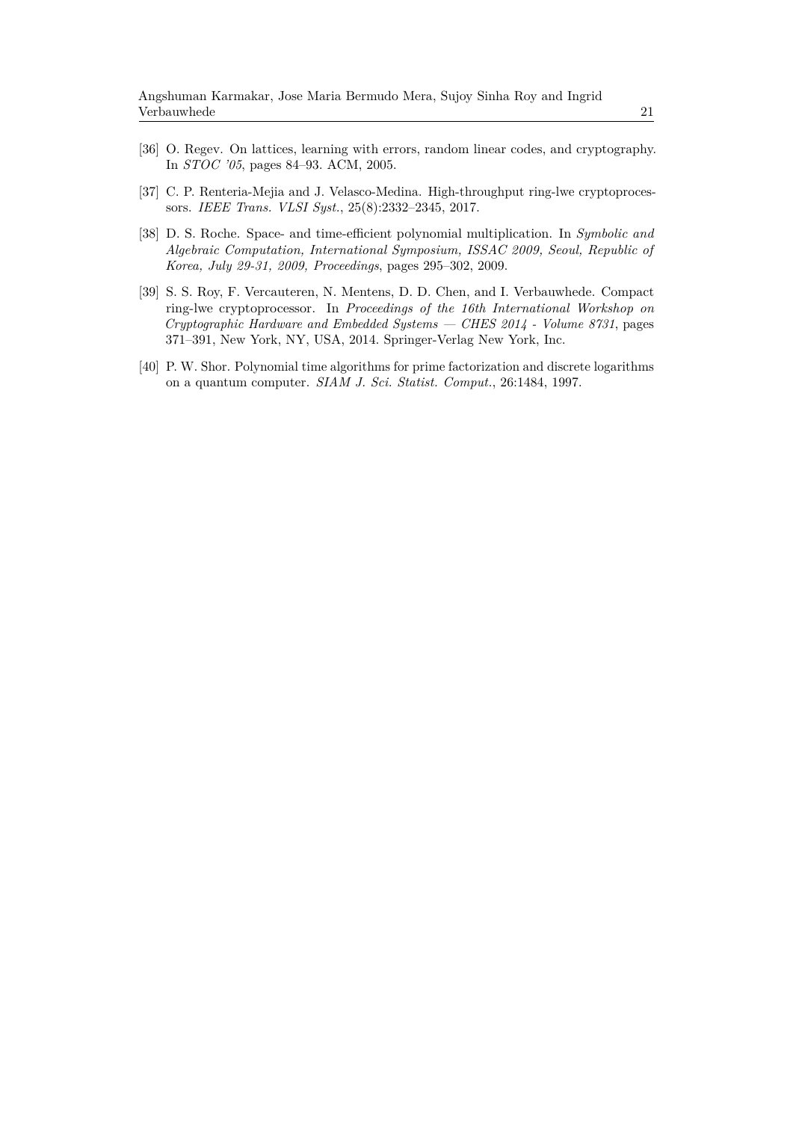- <span id="page-20-2"></span>[36] O. Regev. On lattices, learning with errors, random linear codes, and cryptography. In *STOC '05*, pages 84–93. ACM, 2005.
- <span id="page-20-4"></span>[37] C. P. Renteria-Mejia and J. Velasco-Medina. High-throughput ring-lwe cryptoprocessors. *IEEE Trans. VLSI Syst.*, 25(8):2332–2345, 2017.
- <span id="page-20-1"></span>[38] D. S. Roche. Space- and time-efficient polynomial multiplication. In *Symbolic and Algebraic Computation, International Symposium, ISSAC 2009, Seoul, Republic of Korea, July 29-31, 2009, Proceedings*, pages 295–302, 2009.
- <span id="page-20-3"></span>[39] S. S. Roy, F. Vercauteren, N. Mentens, D. D. Chen, and I. Verbauwhede. Compact ring-lwe cryptoprocessor. In *Proceedings of the 16th International Workshop on Cryptographic Hardware and Embedded Systems — CHES 2014 - Volume 8731*, pages 371–391, New York, NY, USA, 2014. Springer-Verlag New York, Inc.
- <span id="page-20-0"></span>[40] P. W. Shor. Polynomial time algorithms for prime factorization and discrete logarithms on a quantum computer. *SIAM J. Sci. Statist. Comput.*, 26:1484, 1997.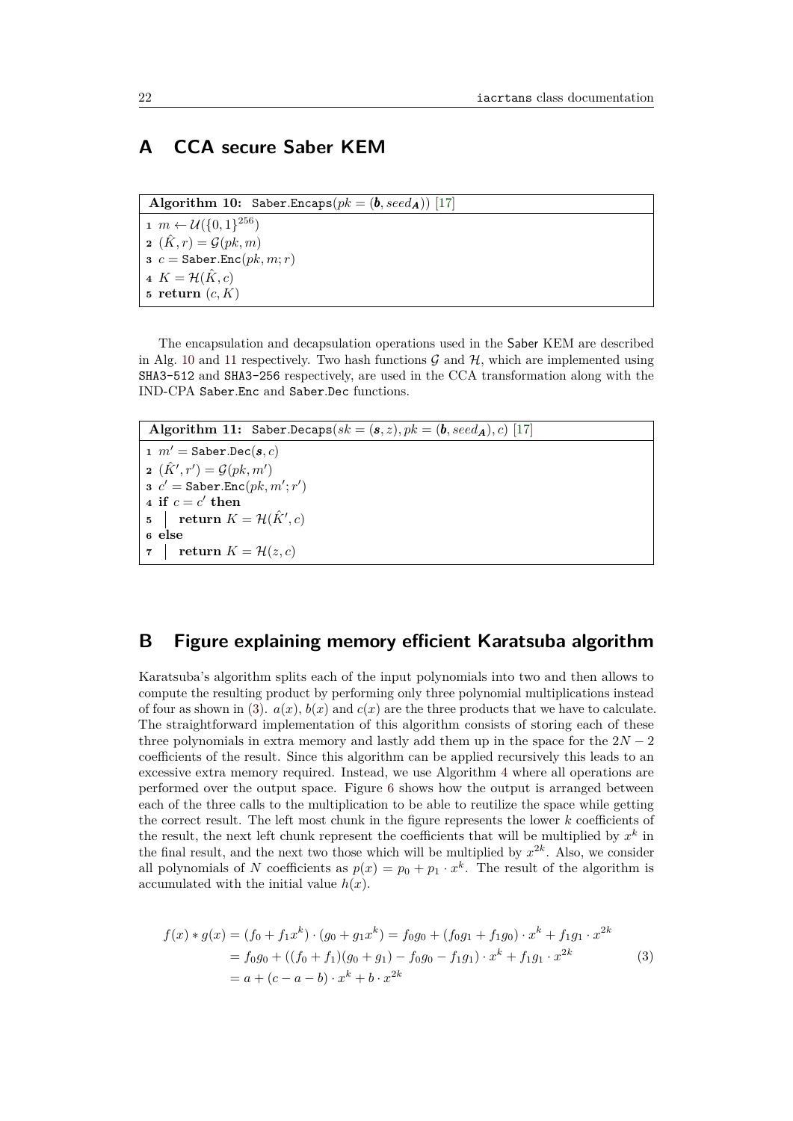## <span id="page-21-0"></span>**A CCA secure Saber KEM**

 $\overline{\text{Algorithm 10: Saber. Encaps}(pk = (\boldsymbol{b}, seed_{\boldsymbol{A}}))}$  [\[17\]](#page-18-1)

<span id="page-21-1"></span> *m* ←  $U({0, 1})^{256}$   $(\hat{K}, r) = \mathcal{G}(pk, m)$   $c =$  Saber.Enc $(pk, m; r)$   $K = \mathcal{H}(\hat{K}, c)$ **return** (*c, K*)

The encapsulation and decapsulation operations used in the Saber KEM are described in Alg. [10](#page-21-1) and [11](#page-21-2) respectively. Two hash functions  $\mathcal G$  and  $\mathcal H$ , which are implemented using SHA3-512 and SHA3-256 respectively, are used in the CCA transformation along with the IND-CPA Saber*.*Enc and Saber*.*Dec functions.

<span id="page-21-2"></span>**Algorithm 11:** Saber.Decaps( $sk = (\mathbf{s}, z)$ ,  $pk = (\mathbf{b}, seed_{\mathbf{A}})$ , c) [\[17\]](#page-18-1) **1**  $m' =$  Saber.Dec( $s, c$ ) **2**  $(\hat{K}', r') = \mathcal{G}(pk, m')$  $\mathbf{s} \ \ c' = \mathtt{Saber}.\mathtt{Enc}(pk, m'; r')$ **4** if  $c = c'$  then  $\textbf{5}$  | return  $K = \mathcal{H}(\hat{K}', c)$ **<sup>6</sup> else 7 return**  $K = \mathcal{H}(z, c)$ 

## **B Figure explaining memory efficient Karatsuba algorithm**

Karatsuba's algorithm splits each of the input polynomials into two and then allows to compute the resulting product by performing only three polynomial multiplications instead of four as shown in [\(3\)](#page-21-3).  $a(x)$ ,  $b(x)$  and  $c(x)$  are the three products that we have to calculate. The straightforward implementation of this algorithm consists of storing each of these three polynomials in extra memory and lastly add them up in the space for the  $2N-2$ coefficients of the result. Since this algorithm can be applied recursively this leads to an excessive extra memory required. Instead, we use Algorithm [4](#page-6-1) where all operations are performed over the output space. Figure [6](#page-22-0) shows how the output is arranged between each of the three calls to the multiplication to be able to reutilize the space while getting the correct result. The left most chunk in the figure represents the lower *k* coefficients of the result, the next left chunk represent the coefficients that will be multiplied by  $x^k$  in the final result, and the next two those which will be multiplied by  $x^{2k}$ . Also, we consider all polynomials of *N* coefficients as  $p(x) = p_0 + p_1 \cdot x^k$ . The result of the algorithm is accumulated with the initial value *h*(*x*).

<span id="page-21-3"></span>
$$
f(x) * g(x) = (f_0 + f_1 x^k) \cdot (g_0 + g_1 x^k) = f_0 g_0 + (f_0 g_1 + f_1 g_0) \cdot x^k + f_1 g_1 \cdot x^{2k}
$$
  
=  $f_0 g_0 + ((f_0 + f_1)(g_0 + g_1) - f_0 g_0 - f_1 g_1) \cdot x^k + f_1 g_1 \cdot x^{2k}$  (3)  
=  $a + (c - a - b) \cdot x^k + b \cdot x^{2k}$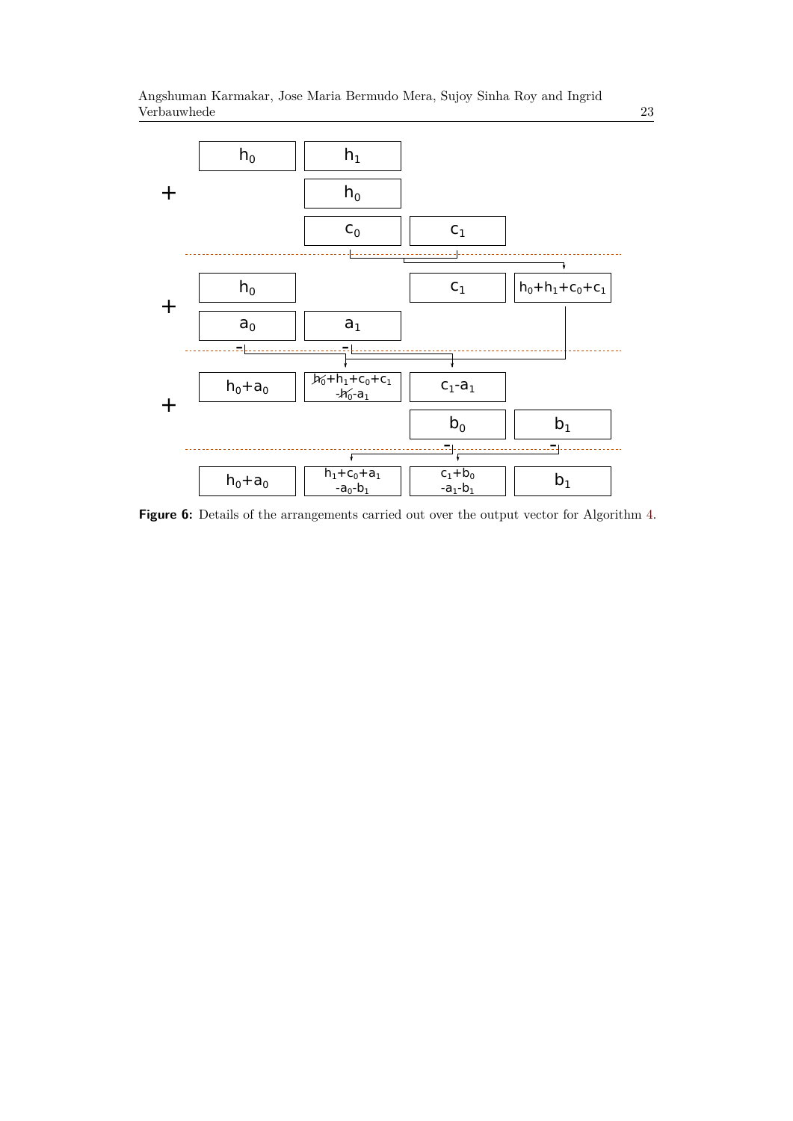<span id="page-22-0"></span>

**Figure 6:** Details of the arrangements carried out over the output vector for Algorithm [4.](#page-6-1)